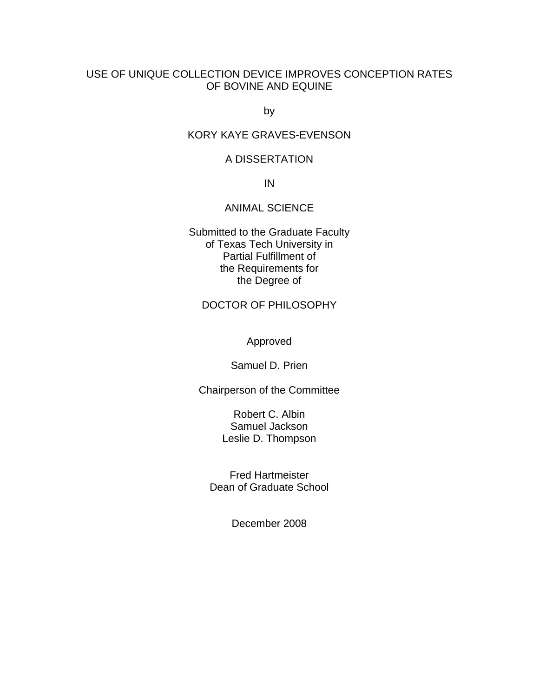# USE OF UNIQUE COLLECTION DEVICE IMPROVES CONCEPTION RATES OF BOVINE AND EQUINE

by

# KORY KAYE GRAVES-EVENSON

# A DISSERTATION

IN

# ANIMAL SCIENCE

Submitted to the Graduate Faculty of Texas Tech University in Partial Fulfillment of the Requirements for the Degree of

# DOCTOR OF PHILOSOPHY

Approved

Samuel D. Prien

Chairperson of the Committee

Robert C. Albin Samuel Jackson Leslie D. Thompson

Fred Hartmeister Dean of Graduate School

December 2008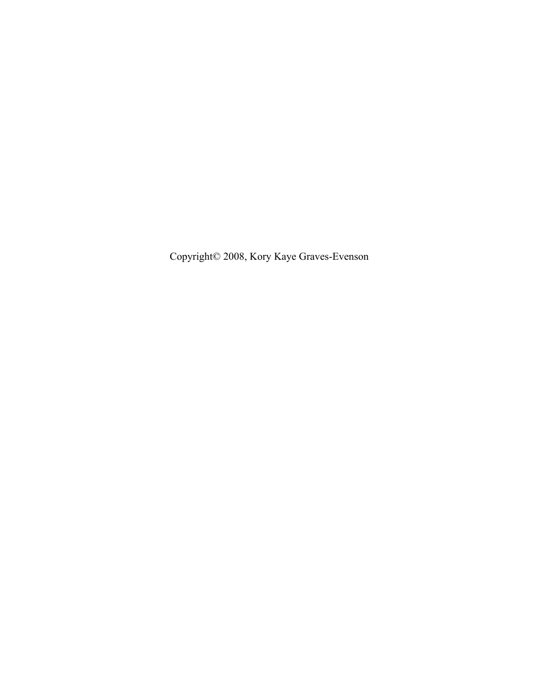Copyright© 2008, Kory Kaye Graves-Evenson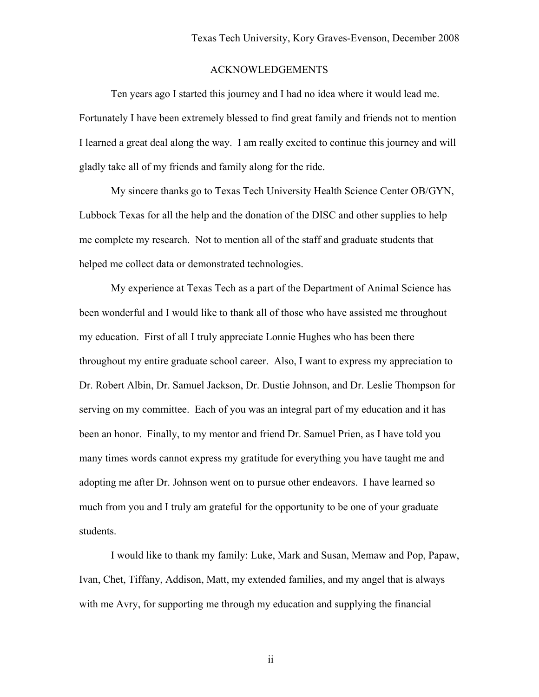# ACKNOWLEDGEMENTS

Ten years ago I started this journey and I had no idea where it would lead me. Fortunately I have been extremely blessed to find great family and friends not to mention I learned a great deal along the way. I am really excited to continue this journey and will gladly take all of my friends and family along for the ride.

My sincere thanks go to Texas Tech University Health Science Center OB/GYN, Lubbock Texas for all the help and the donation of the DISC and other supplies to help me complete my research. Not to mention all of the staff and graduate students that helped me collect data or demonstrated technologies.

My experience at Texas Tech as a part of the Department of Animal Science has been wonderful and I would like to thank all of those who have assisted me throughout my education. First of all I truly appreciate Lonnie Hughes who has been there throughout my entire graduate school career. Also, I want to express my appreciation to Dr. Robert Albin, Dr. Samuel Jackson, Dr. Dustie Johnson, and Dr. Leslie Thompson for serving on my committee. Each of you was an integral part of my education and it has been an honor. Finally, to my mentor and friend Dr. Samuel Prien, as I have told you many times words cannot express my gratitude for everything you have taught me and adopting me after Dr. Johnson went on to pursue other endeavors. I have learned so much from you and I truly am grateful for the opportunity to be one of your graduate students.

I would like to thank my family: Luke, Mark and Susan, Memaw and Pop, Papaw, Ivan, Chet, Tiffany, Addison, Matt, my extended families, and my angel that is always with me Avry, for supporting me through my education and supplying the financial

ii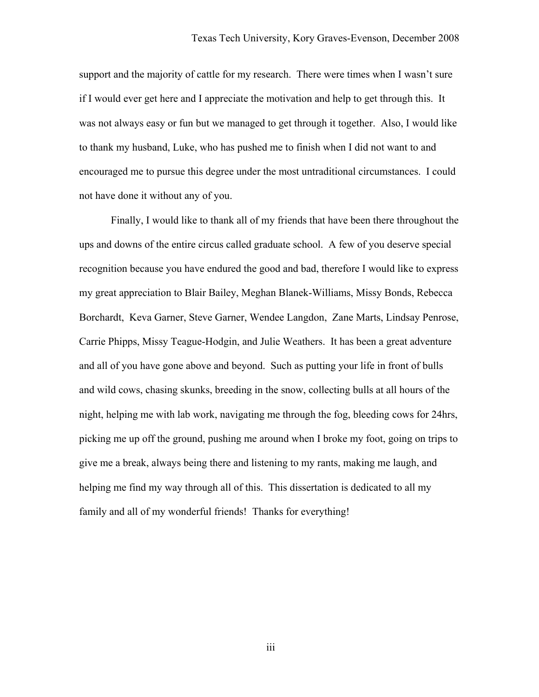support and the majority of cattle for my research. There were times when I wasn't sure if I would ever get here and I appreciate the motivation and help to get through this. It was not always easy or fun but we managed to get through it together. Also, I would like to thank my husband, Luke, who has pushed me to finish when I did not want to and encouraged me to pursue this degree under the most untraditional circumstances. I could not have done it without any of you.

Finally, I would like to thank all of my friends that have been there throughout the ups and downs of the entire circus called graduate school. A few of you deserve special recognition because you have endured the good and bad, therefore I would like to express my great appreciation to Blair Bailey, Meghan Blanek-Williams, Missy Bonds, Rebecca Borchardt, Keva Garner, Steve Garner, Wendee Langdon, Zane Marts, Lindsay Penrose, Carrie Phipps, Missy Teague-Hodgin, and Julie Weathers. It has been a great adventure and all of you have gone above and beyond. Such as putting your life in front of bulls and wild cows, chasing skunks, breeding in the snow, collecting bulls at all hours of the night, helping me with lab work, navigating me through the fog, bleeding cows for 24hrs, picking me up off the ground, pushing me around when I broke my foot, going on trips to give me a break, always being there and listening to my rants, making me laugh, and helping me find my way through all of this. This dissertation is dedicated to all my family and all of my wonderful friends! Thanks for everything!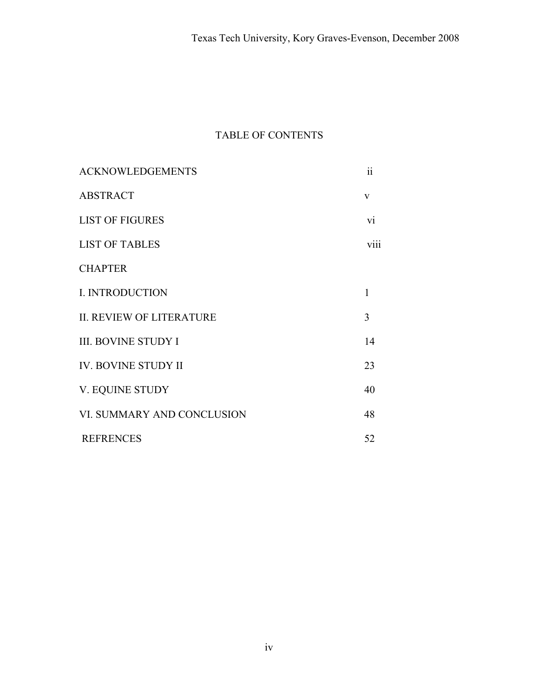# TABLE OF CONTENTS

| <b>ACKNOWLEDGEMENTS</b>         | $\ddot{\rm ii}$ |
|---------------------------------|-----------------|
| <b>ABSTRACT</b>                 | $\mathbf{V}$    |
| <b>LIST OF FIGURES</b>          | vi              |
| <b>LIST OF TABLES</b>           | viii            |
| <b>CHAPTER</b>                  |                 |
| <b>I. INTRODUCTION</b>          | 1               |
| <b>II. REVIEW OF LITERATURE</b> | 3               |
| <b>III. BOVINE STUDY I</b>      | 14              |
| IV. BOVINE STUDY II             | 23              |
| V. EQUINE STUDY                 | 40              |
| VI. SUMMARY AND CONCLUSION      | 48              |
| <b>REFRENCES</b>                | 52              |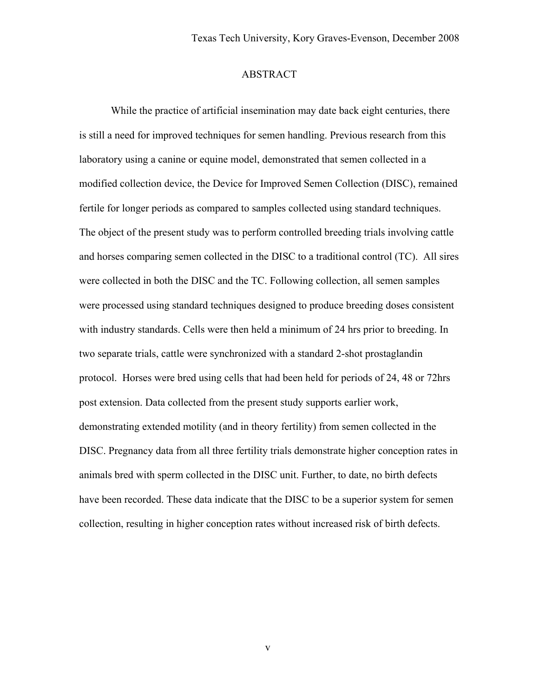# ABSTRACT

While the practice of artificial insemination may date back eight centuries, there is still a need for improved techniques for semen handling. Previous research from this laboratory using a canine or equine model, demonstrated that semen collected in a modified collection device, the Device for Improved Semen Collection (DISC), remained fertile for longer periods as compared to samples collected using standard techniques. The object of the present study was to perform controlled breeding trials involving cattle and horses comparing semen collected in the DISC to a traditional control (TC). All sires were collected in both the DISC and the TC. Following collection, all semen samples were processed using standard techniques designed to produce breeding doses consistent with industry standards. Cells were then held a minimum of 24 hrs prior to breeding. In two separate trials, cattle were synchronized with a standard 2-shot prostaglandin protocol. Horses were bred using cells that had been held for periods of 24, 48 or 72hrs post extension. Data collected from the present study supports earlier work, demonstrating extended motility (and in theory fertility) from semen collected in the DISC. Pregnancy data from all three fertility trials demonstrate higher conception rates in animals bred with sperm collected in the DISC unit. Further, to date, no birth defects have been recorded. These data indicate that the DISC to be a superior system for semen collection, resulting in higher conception rates without increased risk of birth defects.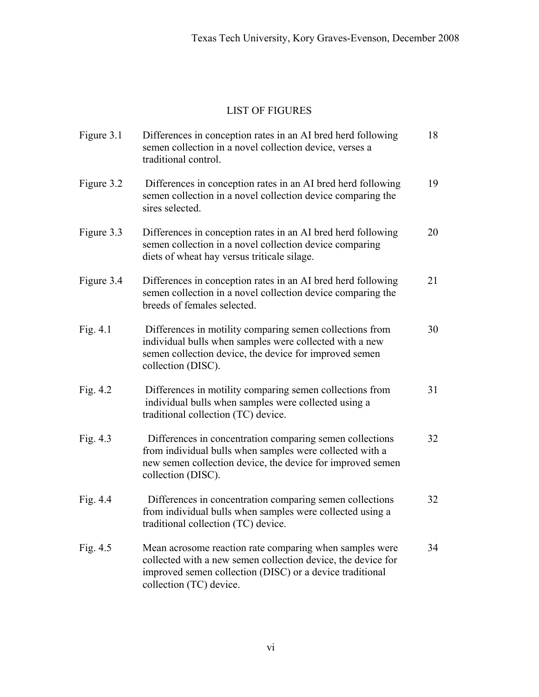# LIST OF FIGURES

| Figure 3.1 | Differences in conception rates in an AI bred herd following<br>semen collection in a novel collection device, verses a<br>traditional control.                                                                | 18 |
|------------|----------------------------------------------------------------------------------------------------------------------------------------------------------------------------------------------------------------|----|
| Figure 3.2 | Differences in conception rates in an AI bred herd following<br>semen collection in a novel collection device comparing the<br>sires selected.                                                                 | 19 |
| Figure 3.3 | Differences in conception rates in an AI bred herd following<br>semen collection in a novel collection device comparing<br>diets of wheat hay versus triticale silage.                                         | 20 |
| Figure 3.4 | Differences in conception rates in an AI bred herd following<br>semen collection in a novel collection device comparing the<br>breeds of females selected.                                                     | 21 |
| Fig. 4.1   | Differences in motility comparing semen collections from<br>individual bulls when samples were collected with a new<br>semen collection device, the device for improved semen<br>collection (DISC).            | 30 |
| Fig. 4.2   | Differences in motility comparing semen collections from<br>individual bulls when samples were collected using a<br>traditional collection (TC) device.                                                        | 31 |
| Fig. 4.3   | Differences in concentration comparing semen collections<br>from individual bulls when samples were collected with a<br>new semen collection device, the device for improved semen<br>collection (DISC).       | 32 |
| Fig. $4.4$ | Differences in concentration comparing semen collections<br>from individual bulls when samples were collected using a<br>traditional collection (TC) device.                                                   | 32 |
| Fig. $4.5$ | Mean acrosome reaction rate comparing when samples were<br>collected with a new semen collection device, the device for<br>improved semen collection (DISC) or a device traditional<br>collection (TC) device. | 34 |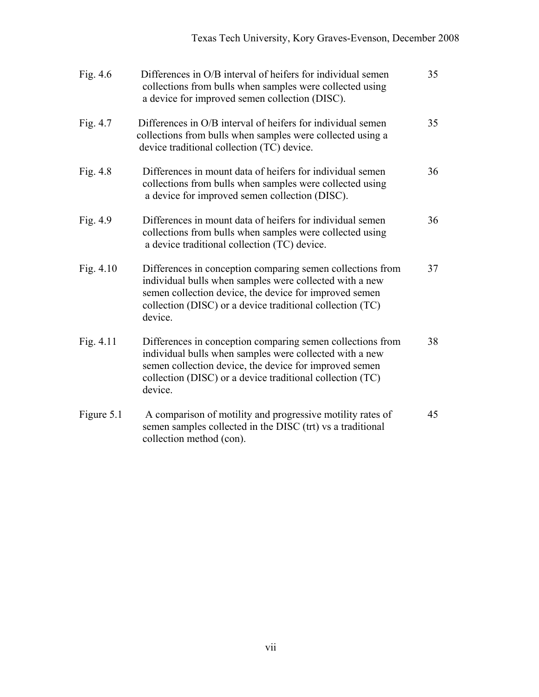| Fig. $4.6$  | Differences in O/B interval of heifers for individual semen<br>collections from bulls when samples were collected using<br>a device for improved semen collection (DISC).                                                                               | 35 |
|-------------|---------------------------------------------------------------------------------------------------------------------------------------------------------------------------------------------------------------------------------------------------------|----|
| Fig. 4.7    | Differences in O/B interval of heifers for individual semen<br>collections from bulls when samples were collected using a<br>device traditional collection (TC) device.                                                                                 | 35 |
| Fig. 4.8    | Differences in mount data of heifers for individual semen<br>collections from bulls when samples were collected using<br>a device for improved semen collection (DISC).                                                                                 | 36 |
| Fig. 4.9    | Differences in mount data of heifers for individual semen<br>collections from bulls when samples were collected using<br>a device traditional collection (TC) device.                                                                                   | 36 |
| Fig. $4.10$ | Differences in conception comparing semen collections from<br>individual bulls when samples were collected with a new<br>semen collection device, the device for improved semen<br>collection (DISC) or a device traditional collection (TC)<br>device. | 37 |
| Fig. $4.11$ | Differences in conception comparing semen collections from<br>individual bulls when samples were collected with a new<br>semen collection device, the device for improved semen<br>collection (DISC) or a device traditional collection (TC)<br>device. | 38 |
| Figure 5.1  | A comparison of motility and progressive motility rates of<br>semen samples collected in the DISC (trt) vs a traditional<br>collection method (con).                                                                                                    | 45 |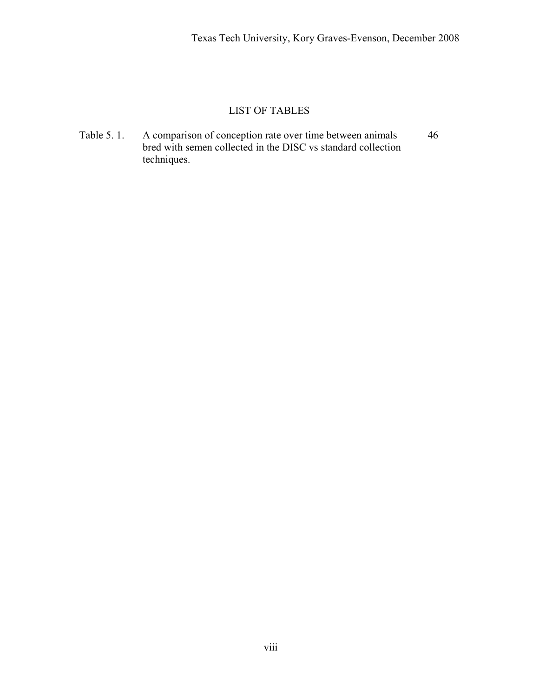# LIST OF TABLES

Table 5. 1. A comparison of conception rate over time between animals 46 bred with semen collected in the DISC vs standard collection techniques.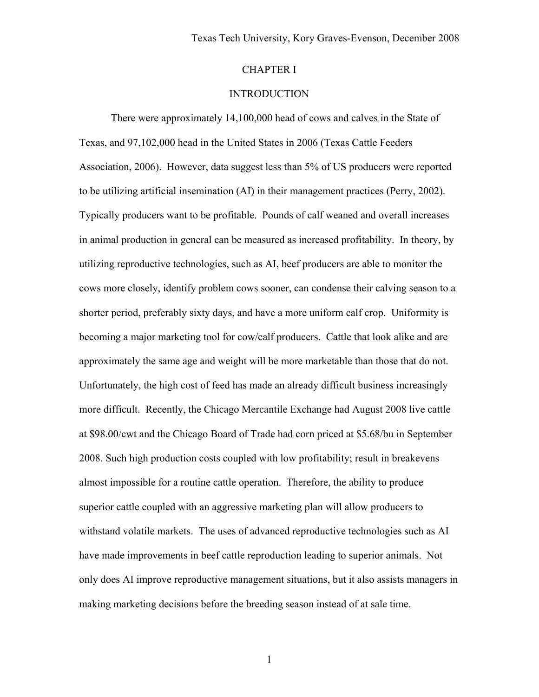# CHAPTER I

# **INTRODUCTION**

There were approximately 14,100,000 head of cows and calves in the State of Texas, and 97,102,000 head in the United States in 2006 (Texas Cattle Feeders Association, 2006). However, data suggest less than 5% of US producers were reported to be utilizing artificial insemination (AI) in their management practices (Perry, 2002). Typically producers want to be profitable. Pounds of calf weaned and overall increases in animal production in general can be measured as increased profitability. In theory, by utilizing reproductive technologies, such as AI, beef producers are able to monitor the cows more closely, identify problem cows sooner, can condense their calving season to a shorter period, preferably sixty days, and have a more uniform calf crop. Uniformity is becoming a major marketing tool for cow/calf producers. Cattle that look alike and are approximately the same age and weight will be more marketable than those that do not. Unfortunately, the high cost of feed has made an already difficult business increasingly more difficult. Recently, the Chicago Mercantile Exchange had August 2008 live cattle at \$98.00/cwt and the Chicago Board of Trade had corn priced at \$5.68/bu in September 2008. Such high production costs coupled with low profitability; result in breakevens almost impossible for a routine cattle operation. Therefore, the ability to produce superior cattle coupled with an aggressive marketing plan will allow producers to withstand volatile markets. The uses of advanced reproductive technologies such as AI have made improvements in beef cattle reproduction leading to superior animals. Not only does AI improve reproductive management situations, but it also assists managers in making marketing decisions before the breeding season instead of at sale time.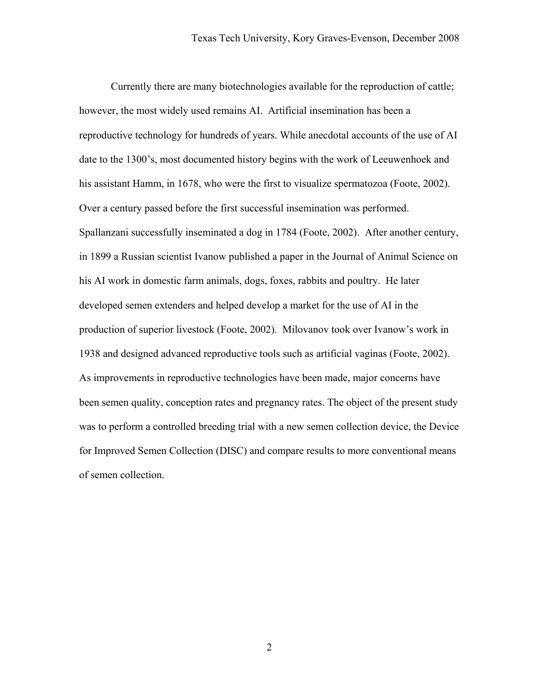Currently there are many biotechnologies available for the reproduction of cattle; however, the most widely used remains AI. Artificial insemination has been a reproductive technology for hundreds of years. While anecdotal accounts of the use of AI date to the 1300's, most documented history begins with the work of Leeuwenhoek and his assistant Hamm, in 1678, who were the first to visualize spermatozoa (Foote, 2002). Over a century passed before the first successful insemination was performed. Spallanzani successfully inseminated a dog in 1784 (Foote, 2002). After another century, in 1899 a Russian scientist Ivanow published a paper in the Journal of Animal Science on his AI work in domestic farm animals, dogs, foxes, rabbits and poultry. He later developed semen extenders and helped develop a market for the use of AI in the production of superior livestock (Foote, 2002). Milovanov took over Ivanow's work in 1938 and designed advanced reproductive tools such as artificial vaginas (Foote, 2002). As improvements in reproductive technologies have been made, major concerns have been semen quality, conception rates and pregnancy rates. The object of the present study was to perform a controlled breeding trial with a new semen collection device, the Device for Improved Semen Collection (DISC) and compare results to more conventional means of semen collection.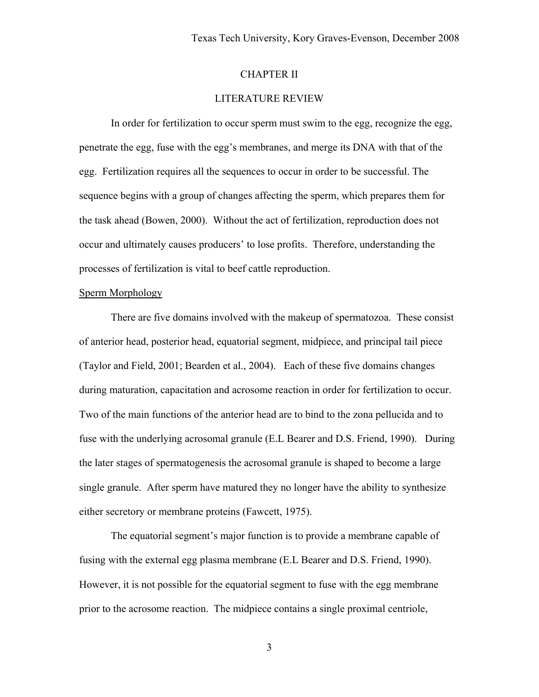# CHAPTER II

# LITERATURE REVIEW

In order for fertilization to occur sperm must swim to the egg, recognize the egg, penetrate the egg, fuse with the egg's membranes, and merge its DNA with that of the egg. Fertilization requires all the sequences to occur in order to be successful. The sequence begins with a group of changes affecting the sperm, which prepares them for the task ahead (Bowen, 2000). Without the act of fertilization, reproduction does not occur and ultimately causes producers' to lose profits. Therefore, understanding the processes of fertilization is vital to beef cattle reproduction.

#### Sperm Morphology

There are five domains involved with the makeup of spermatozoa. These consist of anterior head, posterior head, equatorial segment, midpiece, and principal tail piece (Taylor and Field, 2001; Bearden et al., 2004). Each of these five domains changes during maturation, capacitation and acrosome reaction in order for fertilization to occur. Two of the main functions of the anterior head are to bind to the zona pellucida and to fuse with the underlying acrosomal granule (E.L Bearer and D.S. Friend, 1990). During the later stages of spermatogenesis the acrosomal granule is shaped to become a large single granule. After sperm have matured they no longer have the ability to synthesize either secretory or membrane proteins (Fawcett, 1975).

The equatorial segment's major function is to provide a membrane capable of fusing with the external egg plasma membrane (E.L Bearer and D.S. Friend, 1990). However, it is not possible for the equatorial segment to fuse with the egg membrane prior to the acrosome reaction. The midpiece contains a single proximal centriole,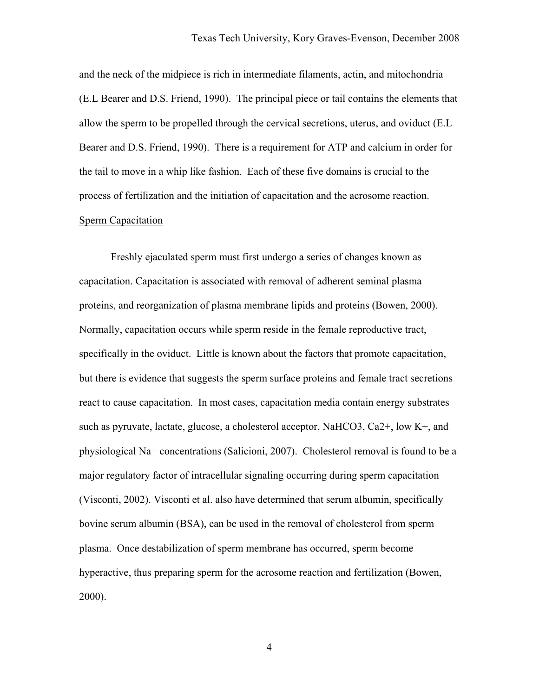and the neck of the midpiece is rich in intermediate filaments, actin, and mitochondria (E.L Bearer and D.S. Friend, 1990). The principal piece or tail contains the elements that allow the sperm to be propelled through the cervical secretions, uterus, and oviduct (E.L Bearer and D.S. Friend, 1990). There is a requirement for ATP and calcium in order for the tail to move in a whip like fashion. Each of these five domains is crucial to the process of fertilization and the initiation of capacitation and the acrosome reaction. Sperm Capacitation

Freshly ejaculated sperm must first undergo a series of changes known as capacitation. Capacitation is associated with removal of adherent seminal plasma proteins, and reorganization of plasma membrane lipids and proteins (Bowen, 2000). Normally, capacitation occurs while sperm reside in the female reproductive tract, specifically in the oviduct. Little is known about the factors that promote capacitation, but there is evidence that suggests the sperm surface proteins and female tract secretions react to cause capacitation. In most cases, capacitation media contain energy substrates such as pyruvate, lactate, glucose, a cholesterol acceptor, NaHCO3, Ca2+, low K+, and physiological Na+ concentrations (Salicioni, 2007). Cholesterol removal is found to be a major regulatory factor of intracellular signaling occurring during sperm capacitation (Visconti, 2002). Visconti et al. also have determined that serum albumin, specifically bovine serum albumin (BSA), can be used in the removal of cholesterol from sperm plasma. Once destabilization of sperm membrane has occurred, sperm become hyperactive, thus preparing sperm for the acrosome reaction and fertilization (Bowen, 2000).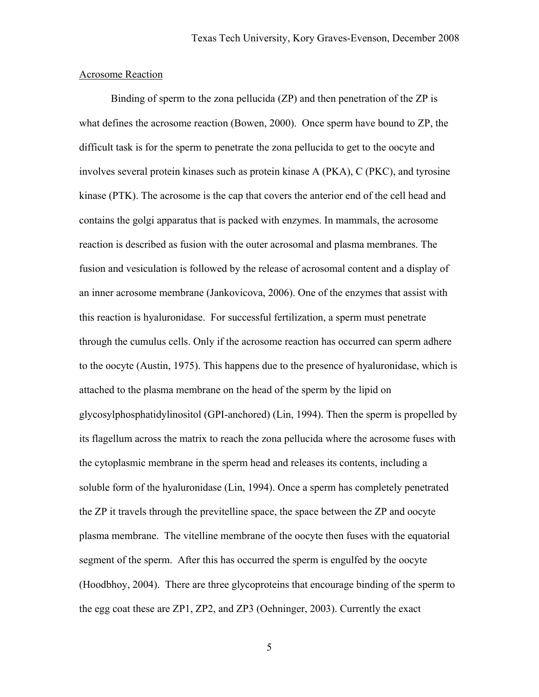### Acrosome Reaction

Binding of sperm to the zona pellucida (ZP) and then penetration of the ZP is what defines the acrosome reaction (Bowen, 2000). Once sperm have bound to ZP, the difficult task is for the sperm to penetrate the zona pellucida to get to the oocyte and involves several protein kinases such as protein kinase A (PKA), C (PKC), and tyrosine kinase (PTK). The acrosome is the cap that covers the anterior end of the cell head and contains the golgi apparatus that is packed with enzymes. In mammals, the acrosome reaction is described as fusion with the outer acrosomal and plasma membranes. The fusion and vesiculation is followed by the release of acrosomal content and a display of an inner acrosome membrane (Jankovicova, 2006). One of the enzymes that assist with this reaction is hyaluronidase. For successful fertilization, a sperm must penetrate through the cumulus cells. Only if the acrosome reaction has occurred can sperm adhere to the oocyte (Austin, 1975). This happens due to the presence of hyaluronidase, which is attached to the plasma membrane on the head of the sperm by the lipid on glycosylphosphatidylinositol (GPI-anchored) (Lin, 1994). Then the sperm is propelled by its flagellum across the matrix to reach the zona pellucida where the acrosome fuses with the cytoplasmic membrane in the sperm head and releases its contents, including a soluble form of the hyaluronidase (Lin, 1994). Once a sperm has completely penetrated the ZP it travels through the previtelline space, the space between the ZP and oocyte plasma membrane. The vitelline membrane of the oocyte then fuses with the equatorial segment of the sperm. After this has occurred the sperm is engulfed by the oocyte (Hoodbhoy, 2004). There are three glycoproteins that encourage binding of the sperm to the egg coat these are ZP1, ZP2, and ZP3 (Oehninger, 2003). Currently the exact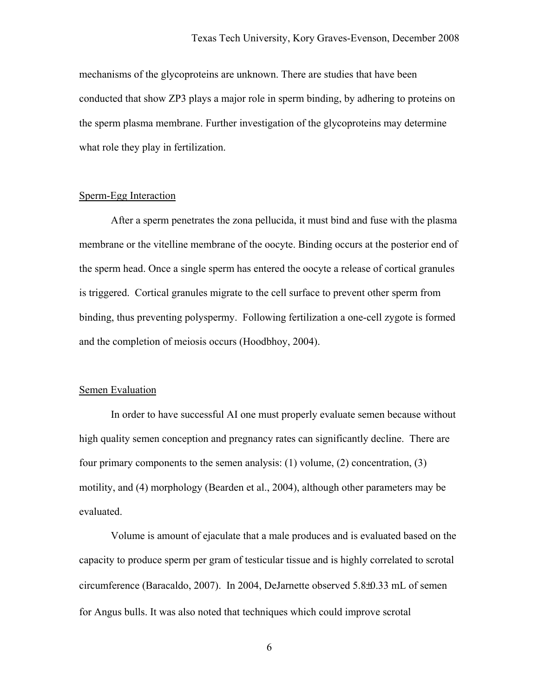mechanisms of the glycoproteins are unknown. There are studies that have been conducted that show ZP3 plays a major role in sperm binding, by adhering to proteins on the sperm plasma membrane. Further investigation of the glycoproteins may determine what role they play in fertilization.

### Sperm-Egg Interaction

After a sperm penetrates the zona pellucida, it must bind and fuse with the plasma membrane or the vitelline membrane of the oocyte. Binding occurs at the posterior end of the sperm head. Once a single sperm has entered the oocyte a release of cortical granules is triggered. Cortical granules migrate to the cell surface to prevent other sperm from binding, thus preventing polyspermy. Following fertilization a one-cell zygote is formed and the completion of meiosis occurs (Hoodbhoy, 2004).

### Semen Evaluation

In order to have successful AI one must properly evaluate semen because without high quality semen conception and pregnancy rates can significantly decline. There are four primary components to the semen analysis: (1) volume, (2) concentration, (3) motility, and (4) morphology (Bearden et al., 2004), although other parameters may be evaluated.

Volume is amount of ejaculate that a male produces and is evaluated based on the capacity to produce sperm per gram of testicular tissue and is highly correlated to scrotal circumference (Baracaldo, 2007). In 2004, DeJarnette observed 5.8±0.33 mL of semen for Angus bulls. It was also noted that techniques which could improve scrotal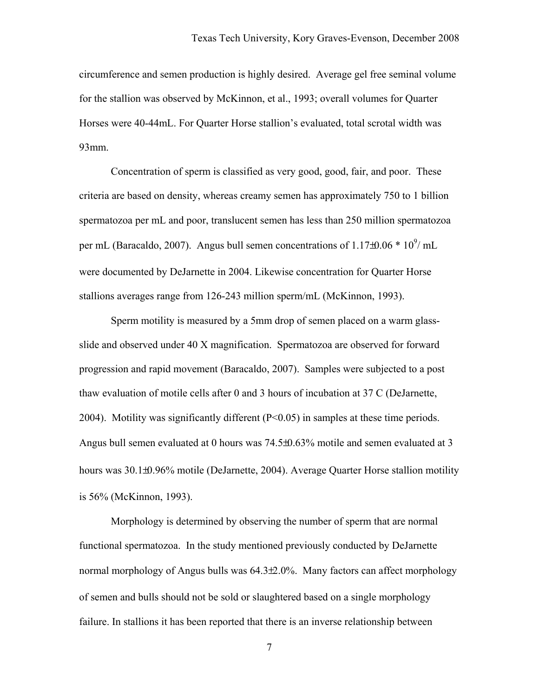circumference and semen production is highly desired. Average gel free seminal volume for the stallion was observed by McKinnon, et al., 1993; overall volumes for Quarter Horses were 40-44mL. For Quarter Horse stallion's evaluated, total scrotal width was 93mm.

Concentration of sperm is classified as very good, good, fair, and poor. These criteria are based on density, whereas creamy semen has approximately 750 to 1 billion spermatozoa per mL and poor, translucent semen has less than 250 million spermatozoa per mL (Baracaldo, 2007). Angus bull semen concentrations of  $1.17\pm0.06 * 10^9$ / mL were documented by DeJarnette in 2004. Likewise concentration for Quarter Horse stallions averages range from 126-243 million sperm/mL (McKinnon, 1993).

Sperm motility is measured by a 5mm drop of semen placed on a warm glassslide and observed under 40 X magnification. Spermatozoa are observed for forward progression and rapid movement (Baracaldo, 2007). Samples were subjected to a post thaw evaluation of motile cells after 0 and 3 hours of incubation at 37 C (DeJarnette, 2004). Motility was significantly different (P<0.05) in samples at these time periods. Angus bull semen evaluated at 0 hours was 74.5±0.63% motile and semen evaluated at 3 hours was 30.1±0.96% motile (DeJarnette, 2004). Average Quarter Horse stallion motility is 56% (McKinnon, 1993).

Morphology is determined by observing the number of sperm that are normal functional spermatozoa. In the study mentioned previously conducted by DeJarnette normal morphology of Angus bulls was 64.3±2.0%. Many factors can affect morphology of semen and bulls should not be sold or slaughtered based on a single morphology failure. In stallions it has been reported that there is an inverse relationship between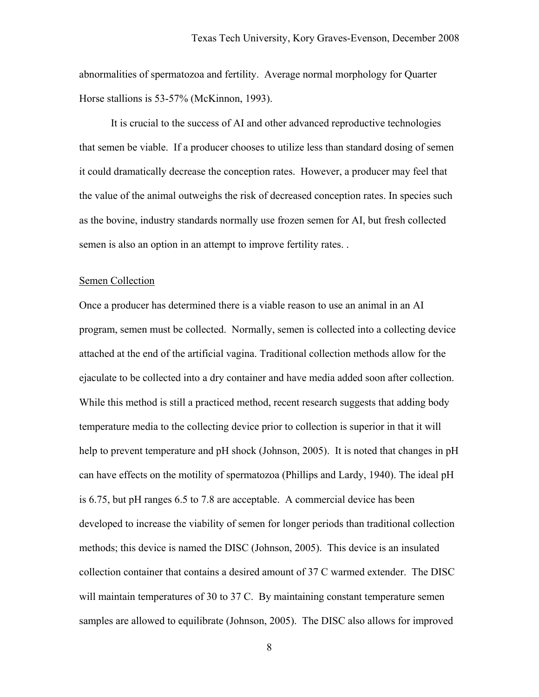abnormalities of spermatozoa and fertility. Average normal morphology for Quarter Horse stallions is 53-57% (McKinnon, 1993).

It is crucial to the success of AI and other advanced reproductive technologies that semen be viable. If a producer chooses to utilize less than standard dosing of semen it could dramatically decrease the conception rates. However, a producer may feel that the value of the animal outweighs the risk of decreased conception rates. In species such as the bovine, industry standards normally use frozen semen for AI, but fresh collected semen is also an option in an attempt to improve fertility rates. .

#### Semen Collection

Once a producer has determined there is a viable reason to use an animal in an AI program, semen must be collected. Normally, semen is collected into a collecting device attached at the end of the artificial vagina. Traditional collection methods allow for the ejaculate to be collected into a dry container and have media added soon after collection. While this method is still a practiced method, recent research suggests that adding body temperature media to the collecting device prior to collection is superior in that it will help to prevent temperature and pH shock (Johnson, 2005). It is noted that changes in pH can have effects on the motility of spermatozoa (Phillips and Lardy, 1940). The ideal pH is 6.75, but pH ranges 6.5 to 7.8 are acceptable. A commercial device has been developed to increase the viability of semen for longer periods than traditional collection methods; this device is named the DISC (Johnson, 2005). This device is an insulated collection container that contains a desired amount of 37 C warmed extender. The DISC will maintain temperatures of 30 to 37 C. By maintaining constant temperature semen samples are allowed to equilibrate (Johnson, 2005). The DISC also allows for improved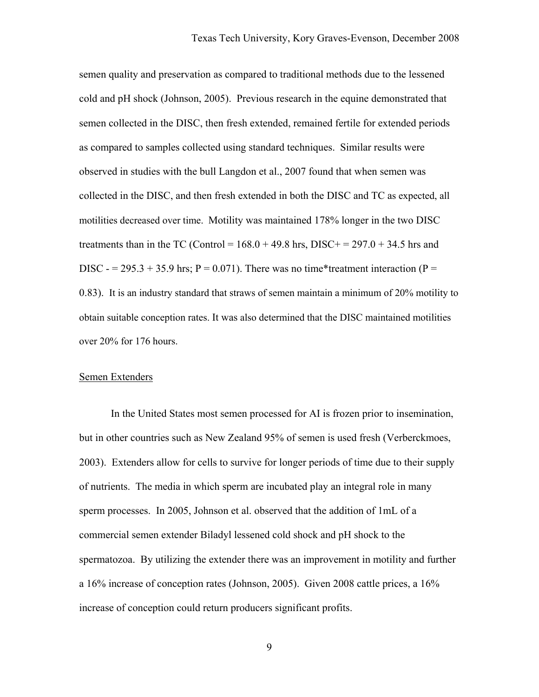semen quality and preservation as compared to traditional methods due to the lessened cold and pH shock (Johnson, 2005). Previous research in the equine demonstrated that semen collected in the DISC, then fresh extended, remained fertile for extended periods as compared to samples collected using standard techniques. Similar results were observed in studies with the bull Langdon et al., 2007 found that when semen was collected in the DISC, and then fresh extended in both the DISC and TC as expected, all motilities decreased over time. Motility was maintained 178% longer in the two DISC treatments than in the TC (Control =  $168.0 + 49.8$  hrs, DISC+ =  $297.0 + 34.5$  hrs and DISC  $= 295.3 + 35.9$  hrs; P = 0.071). There was no time\*treatment interaction (P = 0.83). It is an industry standard that straws of semen maintain a minimum of 20% motility to obtain suitable conception rates. It was also determined that the DISC maintained motilities over 20% for 176 hours.

#### Semen Extenders

In the United States most semen processed for AI is frozen prior to insemination, but in other countries such as New Zealand 95% of semen is used fresh (Verberckmoes, 2003). Extenders allow for cells to survive for longer periods of time due to their supply of nutrients. The media in which sperm are incubated play an integral role in many sperm processes. In 2005, Johnson et al. observed that the addition of 1mL of a commercial semen extender Biladyl lessened cold shock and pH shock to the spermatozoa. By utilizing the extender there was an improvement in motility and further a 16% increase of conception rates (Johnson, 2005). Given 2008 cattle prices, a 16% increase of conception could return producers significant profits.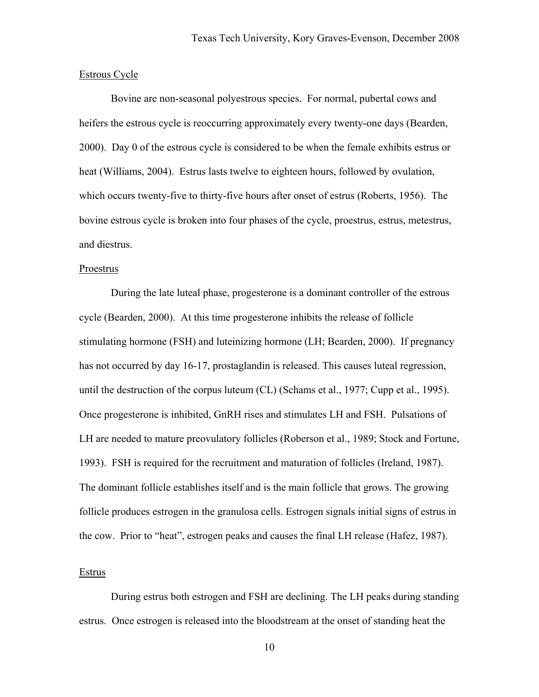#### Estrous Cycle

Bovine are non-seasonal polyestrous species. For normal, pubertal cows and heifers the estrous cycle is reoccurring approximately every twenty-one days (Bearden, 2000). Day 0 of the estrous cycle is considered to be when the female exhibits estrus or heat (Williams, 2004). Estrus lasts twelve to eighteen hours, followed by ovulation, which occurs twenty-five to thirty-five hours after onset of estrus (Roberts, 1956). The bovine estrous cycle is broken into four phases of the cycle, proestrus, estrus, metestrus, and diestrus.

### Proestrus

During the late luteal phase, progesterone is a dominant controller of the estrous cycle (Bearden, 2000). At this time progesterone inhibits the release of follicle stimulating hormone (FSH) and luteinizing hormone (LH; Bearden, 2000). If pregnancy has not occurred by day 16-17, prostaglandin is released. This causes luteal regression, until the destruction of the corpus luteum (CL) (Schams et al., 1977; Cupp et al., 1995). Once progesterone is inhibited, GnRH rises and stimulates LH and FSH. Pulsations of LH are needed to mature preovulatory follicles (Roberson et al., 1989; Stock and Fortune, 1993). FSH is required for the recruitment and maturation of follicles (Ireland, 1987). The dominant follicle establishes itself and is the main follicle that grows. The growing follicle produces estrogen in the granulosa cells. Estrogen signals initial signs of estrus in the cow. Prior to "heat", estrogen peaks and causes the final LH release (Hafez, 1987).

### Estrus

During estrus both estrogen and FSH are declining. The LH peaks during standing estrus. Once estrogen is released into the bloodstream at the onset of standing heat the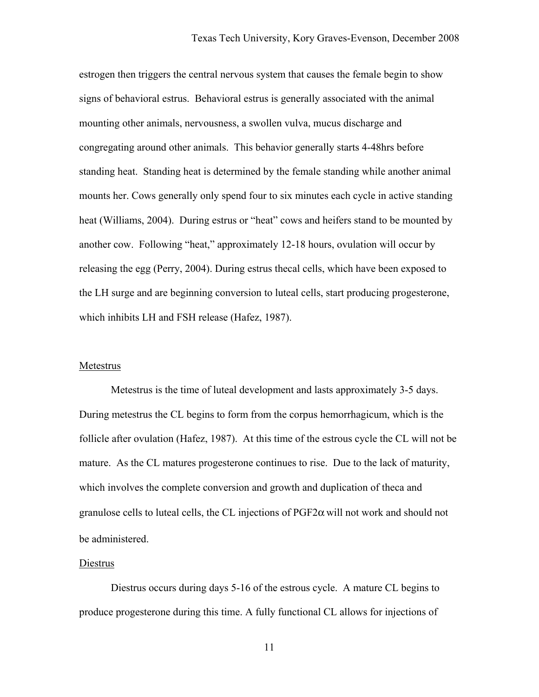estrogen then triggers the central nervous system that causes the female begin to show signs of behavioral estrus. Behavioral estrus is generally associated with the animal mounting other animals, nervousness, a swollen vulva, mucus discharge and congregating around other animals. This behavior generally starts 4-48hrs before standing heat. Standing heat is determined by the female standing while another animal mounts her. Cows generally only spend four to six minutes each cycle in active standing heat (Williams, 2004). During estrus or "heat" cows and heifers stand to be mounted by another cow. Following "heat," approximately 12-18 hours, ovulation will occur by releasing the egg (Perry, 2004). During estrus thecal cells, which have been exposed to the LH surge and are beginning conversion to luteal cells, start producing progesterone, which inhibits LH and FSH release (Hafez, 1987).

#### Metestrus

Metestrus is the time of luteal development and lasts approximately 3-5 days. During metestrus the CL begins to form from the corpus hemorrhagicum, which is the follicle after ovulation (Hafez, 1987). At this time of the estrous cycle the CL will not be mature. As the CL matures progesterone continues to rise. Due to the lack of maturity, which involves the complete conversion and growth and duplication of theca and granulose cells to luteal cells, the CL injections of  $PGF2\alpha$  will not work and should not be administered.

### Diestrus

Diestrus occurs during days 5-16 of the estrous cycle. A mature CL begins to produce progesterone during this time. A fully functional CL allows for injections of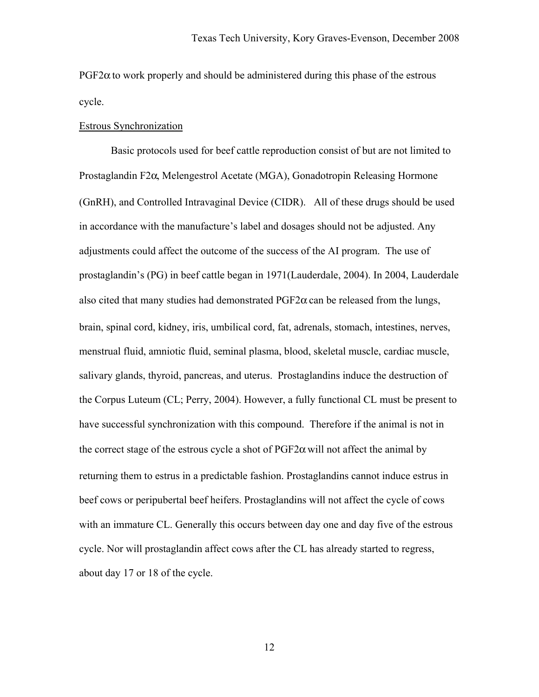$PGF2\alpha$  to work properly and should be administered during this phase of the estrous cycle.

### Estrous Synchronization

Basic protocols used for beef cattle reproduction consist of but are not limited to Prostaglandin F2α, Melengestrol Acetate (MGA), Gonadotropin Releasing Hormone (GnRH), and Controlled Intravaginal Device (CIDR). All of these drugs should be used in accordance with the manufacture's label and dosages should not be adjusted. Any adjustments could affect the outcome of the success of the AI program. The use of prostaglandin's (PG) in beef cattle began in 1971(Lauderdale, 2004). In 2004, Lauderdale also cited that many studies had demonstrated  $PGF2\alpha$  can be released from the lungs, brain, spinal cord, kidney, iris, umbilical cord, fat, adrenals, stomach, intestines, nerves, menstrual fluid, amniotic fluid, seminal plasma, blood, skeletal muscle, cardiac muscle, salivary glands, thyroid, pancreas, and uterus. Prostaglandins induce the destruction of the Corpus Luteum (CL; Perry, 2004). However, a fully functional CL must be present to have successful synchronization with this compound. Therefore if the animal is not in the correct stage of the estrous cycle a shot of  $PGF2\alpha$  will not affect the animal by returning them to estrus in a predictable fashion. Prostaglandins cannot induce estrus in beef cows or peripubertal beef heifers. Prostaglandins will not affect the cycle of cows with an immature CL. Generally this occurs between day one and day five of the estrous cycle. Nor will prostaglandin affect cows after the CL has already started to regress, about day 17 or 18 of the cycle.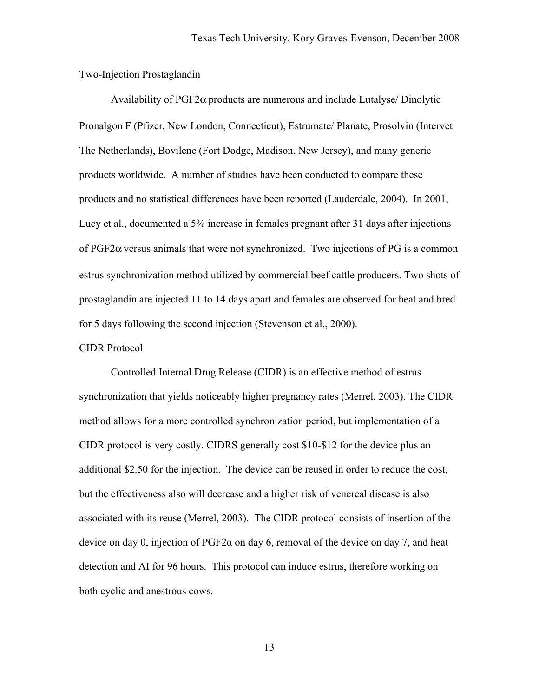### Two-Injection Prostaglandin

Availability of  $PGF2\alpha$  products are numerous and include Lutalyse/ Dinolytic Pronalgon F (Pfizer, New London, Connecticut), Estrumate/ Planate, Prosolvin (Intervet The Netherlands), Bovilene (Fort Dodge, Madison, New Jersey), and many generic products worldwide. A number of studies have been conducted to compare these products and no statistical differences have been reported (Lauderdale, 2004). In 2001, Lucy et al., documented a 5% increase in females pregnant after 31 days after injections of PGF2α versus animals that were not synchronized. Two injections of PG is a common estrus synchronization method utilized by commercial beef cattle producers. Two shots of prostaglandin are injected 11 to 14 days apart and females are observed for heat and bred for 5 days following the second injection (Stevenson et al., 2000).

### CIDR Protocol

 Controlled Internal Drug Release (CIDR) is an effective method of estrus synchronization that yields noticeably higher pregnancy rates (Merrel, 2003). The CIDR method allows for a more controlled synchronization period, but implementation of a CIDR protocol is very costly. CIDRS generally cost \$10-\$12 for the device plus an additional \$2.50 for the injection. The device can be reused in order to reduce the cost, but the effectiveness also will decrease and a higher risk of venereal disease is also associated with its reuse (Merrel, 2003). The CIDR protocol consists of insertion of the device on day 0, injection of  $PGF2\alpha$  on day 6, removal of the device on day 7, and heat detection and AI for 96 hours. This protocol can induce estrus, therefore working on both cyclic and anestrous cows.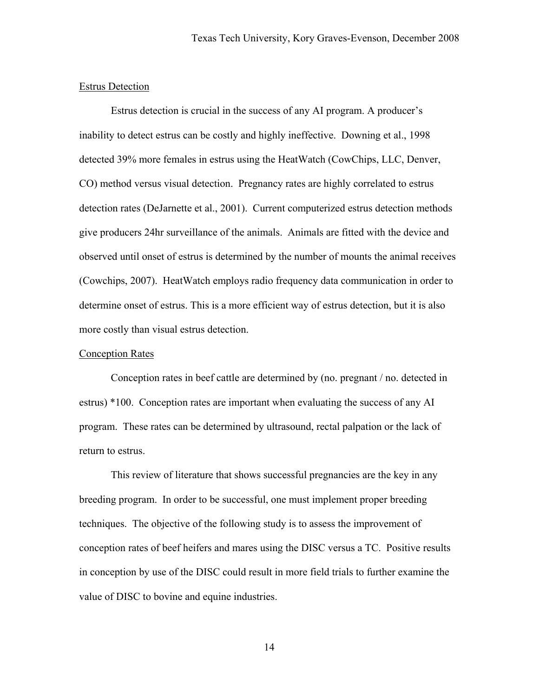#### Estrus Detection

Estrus detection is crucial in the success of any AI program. A producer's inability to detect estrus can be costly and highly ineffective. Downing et al., 1998 detected 39% more females in estrus using the HeatWatch (CowChips, LLC, Denver, CO) method versus visual detection. Pregnancy rates are highly correlated to estrus detection rates (DeJarnette et al., 2001). Current computerized estrus detection methods give producers 24hr surveillance of the animals. Animals are fitted with the device and observed until onset of estrus is determined by the number of mounts the animal receives (Cowchips, 2007). HeatWatch employs radio frequency data communication in order to determine onset of estrus. This is a more efficient way of estrus detection, but it is also more costly than visual estrus detection.

### Conception Rates

 Conception rates in beef cattle are determined by (no. pregnant / no. detected in estrus) \*100. Conception rates are important when evaluating the success of any AI program. These rates can be determined by ultrasound, rectal palpation or the lack of return to estrus.

 This review of literature that shows successful pregnancies are the key in any breeding program. In order to be successful, one must implement proper breeding techniques. The objective of the following study is to assess the improvement of conception rates of beef heifers and mares using the DISC versus a TC. Positive results in conception by use of the DISC could result in more field trials to further examine the value of DISC to bovine and equine industries.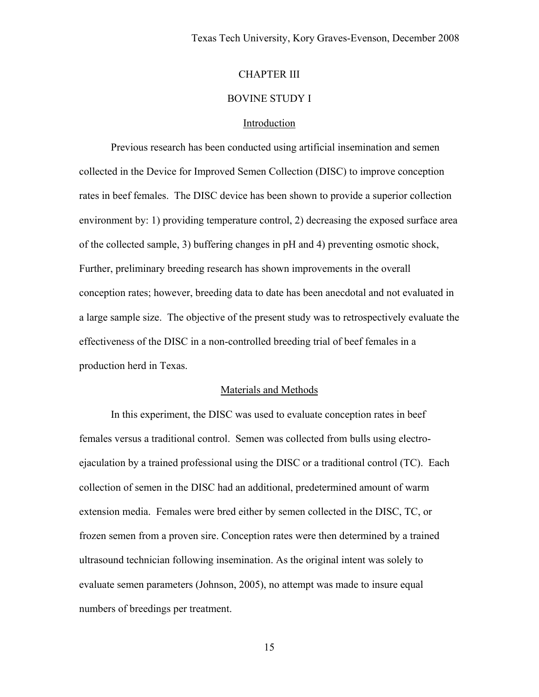# CHAPTER III

### BOVINE STUDY I

### Introduction

 Previous research has been conducted using artificial insemination and semen collected in the Device for Improved Semen Collection (DISC) to improve conception rates in beef females. The DISC device has been shown to provide a superior collection environment by: 1) providing temperature control, 2) decreasing the exposed surface area of the collected sample, 3) buffering changes in pH and 4) preventing osmotic shock, Further, preliminary breeding research has shown improvements in the overall conception rates; however, breeding data to date has been anecdotal and not evaluated in a large sample size. The objective of the present study was to retrospectively evaluate the effectiveness of the DISC in a non-controlled breeding trial of beef females in a production herd in Texas.

### Materials and Methods

 In this experiment, the DISC was used to evaluate conception rates in beef females versus a traditional control. Semen was collected from bulls using electroejaculation by a trained professional using the DISC or a traditional control (TC). Each collection of semen in the DISC had an additional, predetermined amount of warm extension media. Females were bred either by semen collected in the DISC, TC, or frozen semen from a proven sire. Conception rates were then determined by a trained ultrasound technician following insemination. As the original intent was solely to evaluate semen parameters (Johnson, 2005), no attempt was made to insure equal numbers of breedings per treatment.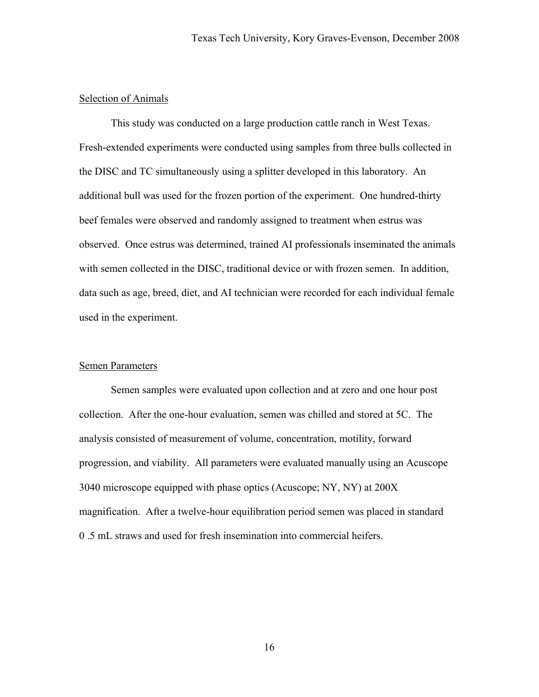# Selection of Animals

 This study was conducted on a large production cattle ranch in West Texas. Fresh-extended experiments were conducted using samples from three bulls collected in the DISC and TC simultaneously using a splitter developed in this laboratory. An additional bull was used for the frozen portion of the experiment. One hundred-thirty beef females were observed and randomly assigned to treatment when estrus was observed. Once estrus was determined, trained AI professionals inseminated the animals with semen collected in the DISC, traditional device or with frozen semen. In addition, data such as age, breed, diet, and AI technician were recorded for each individual female used in the experiment.

#### Semen Parameters

 Semen samples were evaluated upon collection and at zero and one hour post collection. After the one-hour evaluation, semen was chilled and stored at 5C. The analysis consisted of measurement of volume, concentration, motility, forward progression, and viability. All parameters were evaluated manually using an Acuscope 3040 microscope equipped with phase optics (Acuscope; NY, NY) at 200X magnification. After a twelve-hour equilibration period semen was placed in standard 0 .5 mL straws and used for fresh insemination into commercial heifers.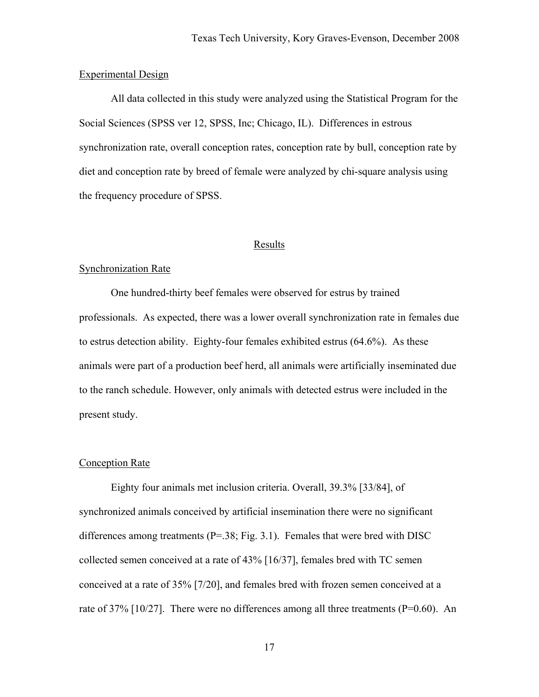### Experimental Design

 All data collected in this study were analyzed using the Statistical Program for the Social Sciences (SPSS ver 12, SPSS, Inc; Chicago, IL). Differences in estrous synchronization rate, overall conception rates, conception rate by bull, conception rate by diet and conception rate by breed of female were analyzed by chi-square analysis using the frequency procedure of SPSS.

### **Results**

# Synchronization Rate

 One hundred-thirty beef females were observed for estrus by trained professionals. As expected, there was a lower overall synchronization rate in females due to estrus detection ability. Eighty-four females exhibited estrus (64.6%). As these animals were part of a production beef herd, all animals were artificially inseminated due to the ranch schedule. However, only animals with detected estrus were included in the present study.

#### Conception Rate

 Eighty four animals met inclusion criteria. Overall, 39.3% [33/84], of synchronized animals conceived by artificial insemination there were no significant differences among treatments  $(P=38; Fig. 3.1)$ . Females that were bred with DISC collected semen conceived at a rate of 43% [16/37], females bred with TC semen conceived at a rate of 35% [7/20], and females bred with frozen semen conceived at a rate of 37%  $[10/27]$ . There were no differences among all three treatments (P=0.60). An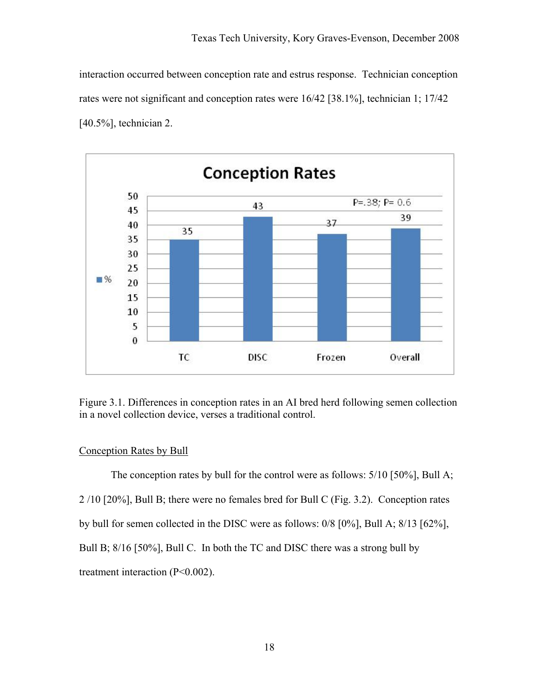interaction occurred between conception rate and estrus response. Technician conception rates were not significant and conception rates were 16/42 [38.1%], technician 1; 17/42 [40.5%], technician 2.



Figure 3.1. Differences in conception rates in an AI bred herd following semen collection in a novel collection device, verses a traditional control.

# Conception Rates by Bull

 The conception rates by bull for the control were as follows: 5/10 [50%], Bull A; 2 /10 [20%], Bull B; there were no females bred for Bull C (Fig. 3.2). Conception rates by bull for semen collected in the DISC were as follows: 0/8 [0%], Bull A; 8/13 [62%], Bull B;  $8/16$  [50%], Bull C. In both the TC and DISC there was a strong bull by treatment interaction (P<0.002).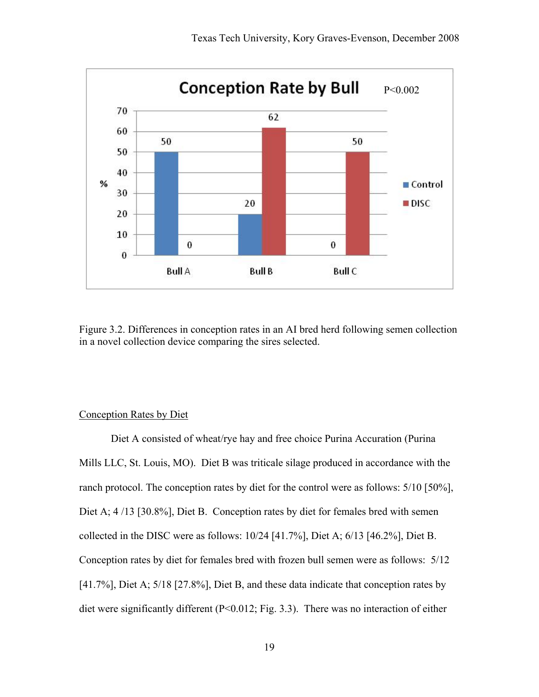

Figure 3.2. Differences in conception rates in an AI bred herd following semen collection in a novel collection device comparing the sires selected.

# Conception Rates by Diet

 Diet A consisted of wheat/rye hay and free choice Purina Accuration (Purina Mills LLC, St. Louis, MO). Diet B was triticale silage produced in accordance with the ranch protocol. The conception rates by diet for the control were as follows: 5/10 [50%], Diet A;  $4/13$  [30.8%], Diet B. Conception rates by diet for females bred with semen collected in the DISC were as follows: 10/24 [41.7%], Diet A; 6/13 [46.2%], Diet B. Conception rates by diet for females bred with frozen bull semen were as follows: 5/12 [41.7%], Diet A; 5/18 [27.8%], Diet B, and these data indicate that conception rates by diet were significantly different (P<0.012; Fig. 3.3). There was no interaction of either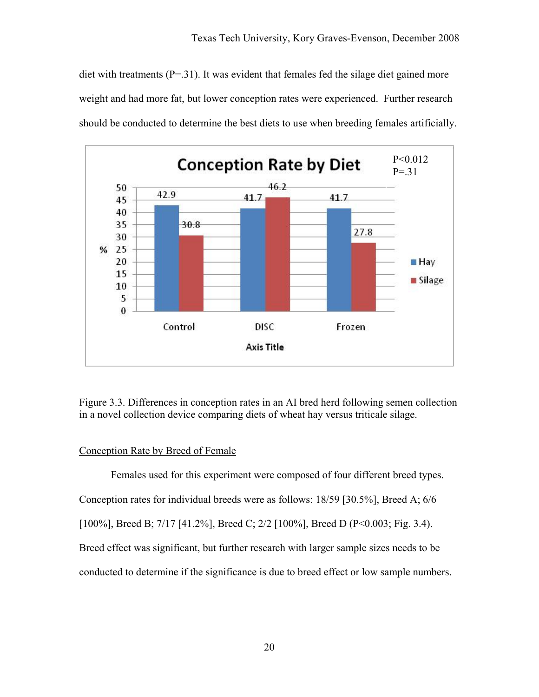diet with treatments  $(P=31)$ . It was evident that females fed the silage diet gained more weight and had more fat, but lower conception rates were experienced. Further research should be conducted to determine the best diets to use when breeding females artificially.



Figure 3.3. Differences in conception rates in an AI bred herd following semen collection in a novel collection device comparing diets of wheat hay versus triticale silage.

# Conception Rate by Breed of Female

 Females used for this experiment were composed of four different breed types. Conception rates for individual breeds were as follows: 18/59 [30.5%], Breed A; 6/6 [100%], Breed B; 7/17 [41.2%], Breed C; 2/2 [100%], Breed D (P<0.003; Fig. 3.4). Breed effect was significant, but further research with larger sample sizes needs to be conducted to determine if the significance is due to breed effect or low sample numbers.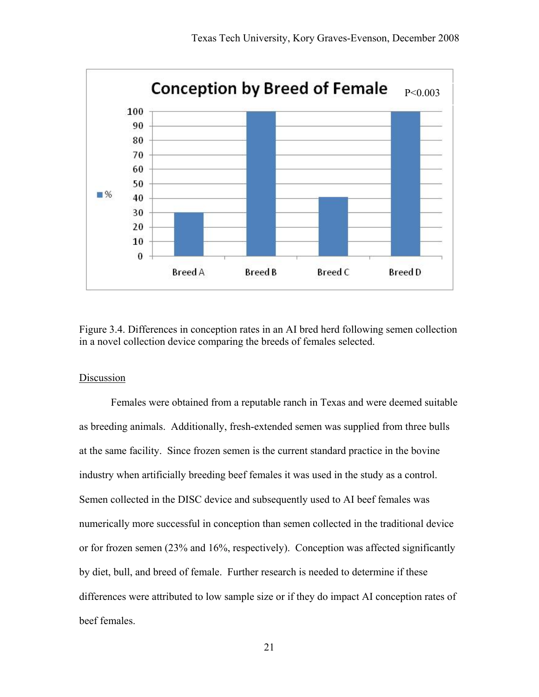

Figure 3.4. Differences in conception rates in an AI bred herd following semen collection in a novel collection device comparing the breeds of females selected.

### Discussion

Females were obtained from a reputable ranch in Texas and were deemed suitable as breeding animals. Additionally, fresh-extended semen was supplied from three bulls at the same facility. Since frozen semen is the current standard practice in the bovine industry when artificially breeding beef females it was used in the study as a control. Semen collected in the DISC device and subsequently used to AI beef females was numerically more successful in conception than semen collected in the traditional device or for frozen semen (23% and 16%, respectively). Conception was affected significantly by diet, bull, and breed of female. Further research is needed to determine if these differences were attributed to low sample size or if they do impact AI conception rates of beef females.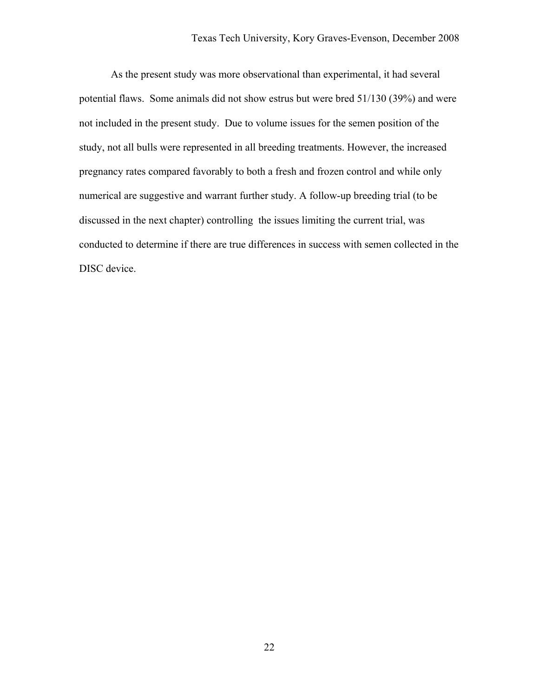As the present study was more observational than experimental, it had several potential flaws. Some animals did not show estrus but were bred 51/130 (39%) and were not included in the present study. Due to volume issues for the semen position of the study, not all bulls were represented in all breeding treatments. However, the increased pregnancy rates compared favorably to both a fresh and frozen control and while only numerical are suggestive and warrant further study. A follow-up breeding trial (to be discussed in the next chapter) controlling the issues limiting the current trial, was conducted to determine if there are true differences in success with semen collected in the DISC device.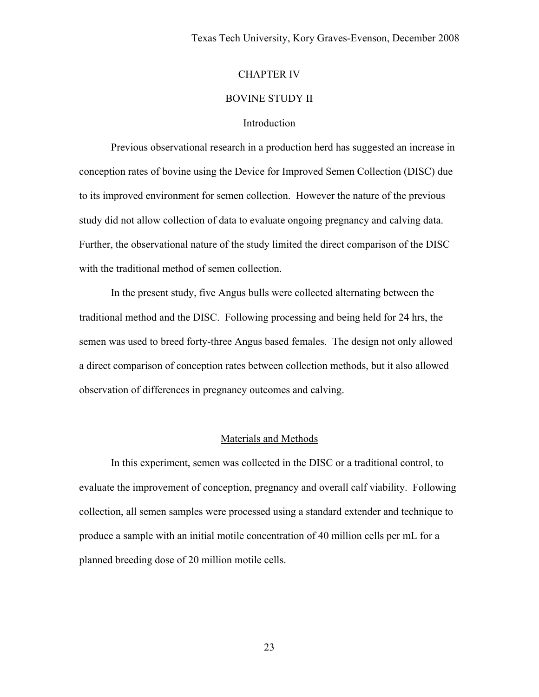# CHAPTER IV

### BOVINE STUDY II

### Introduction

Previous observational research in a production herd has suggested an increase in conception rates of bovine using the Device for Improved Semen Collection (DISC) due to its improved environment for semen collection. However the nature of the previous study did not allow collection of data to evaluate ongoing pregnancy and calving data. Further, the observational nature of the study limited the direct comparison of the DISC with the traditional method of semen collection.

In the present study, five Angus bulls were collected alternating between the traditional method and the DISC. Following processing and being held for 24 hrs, the semen was used to breed forty-three Angus based females. The design not only allowed a direct comparison of conception rates between collection methods, but it also allowed observation of differences in pregnancy outcomes and calving.

#### Materials and Methods

In this experiment, semen was collected in the DISC or a traditional control, to evaluate the improvement of conception, pregnancy and overall calf viability. Following collection, all semen samples were processed using a standard extender and technique to produce a sample with an initial motile concentration of 40 million cells per mL for a planned breeding dose of 20 million motile cells.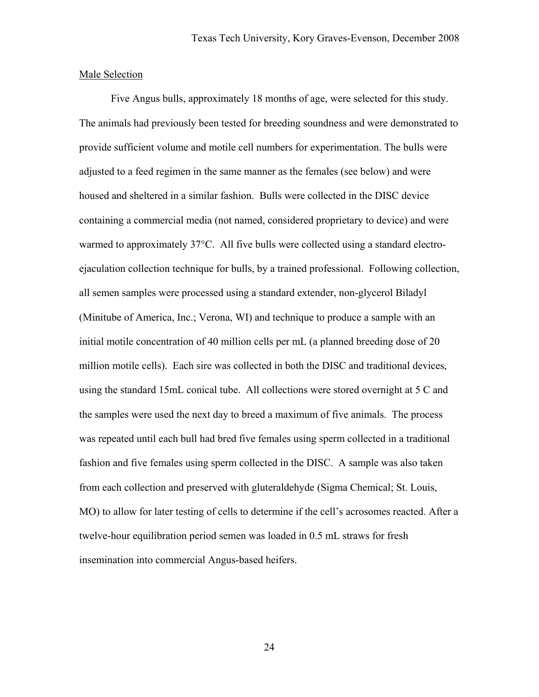### Male Selection

Five Angus bulls, approximately 18 months of age, were selected for this study. The animals had previously been tested for breeding soundness and were demonstrated to provide sufficient volume and motile cell numbers for experimentation. The bulls were adjusted to a feed regimen in the same manner as the females (see below) and were housed and sheltered in a similar fashion. Bulls were collected in the DISC device containing a commercial media (not named, considered proprietary to device) and were warmed to approximately 37°C. All five bulls were collected using a standard electroejaculation collection technique for bulls, by a trained professional. Following collection, all semen samples were processed using a standard extender, non-glycerol Biladyl (Minitube of America, Inc.; Verona, WI) and technique to produce a sample with an initial motile concentration of 40 million cells per mL (a planned breeding dose of 20 million motile cells). Each sire was collected in both the DISC and traditional devices, using the standard 15mL conical tube. All collections were stored overnight at 5 C and the samples were used the next day to breed a maximum of five animals. The process was repeated until each bull had bred five females using sperm collected in a traditional fashion and five females using sperm collected in the DISC. A sample was also taken from each collection and preserved with gluteraldehyde (Sigma Chemical; St. Louis, MO) to allow for later testing of cells to determine if the cell's acrosomes reacted. After a twelve-hour equilibration period semen was loaded in 0.5 mL straws for fresh insemination into commercial Angus-based heifers.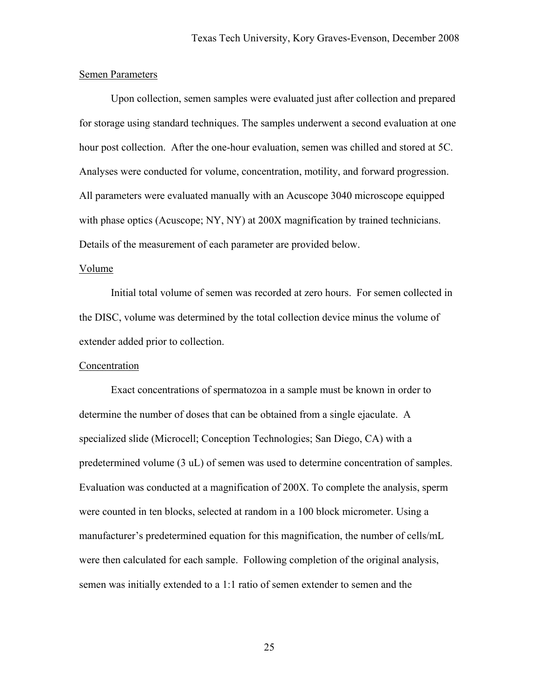### Semen Parameters

 Upon collection, semen samples were evaluated just after collection and prepared for storage using standard techniques. The samples underwent a second evaluation at one hour post collection. After the one-hour evaluation, semen was chilled and stored at 5C. Analyses were conducted for volume, concentration, motility, and forward progression. All parameters were evaluated manually with an Acuscope 3040 microscope equipped with phase optics (Acuscope; NY, NY) at 200X magnification by trained technicians. Details of the measurement of each parameter are provided below.

### Volume

 Initial total volume of semen was recorded at zero hours. For semen collected in the DISC, volume was determined by the total collection device minus the volume of extender added prior to collection.

### Concentration

 Exact concentrations of spermatozoa in a sample must be known in order to determine the number of doses that can be obtained from a single ejaculate. A specialized slide (Microcell; Conception Technologies; San Diego, CA) with a predetermined volume (3 uL) of semen was used to determine concentration of samples. Evaluation was conducted at a magnification of 200X. To complete the analysis, sperm were counted in ten blocks, selected at random in a 100 block micrometer. Using a manufacturer's predetermined equation for this magnification, the number of cells/mL were then calculated for each sample. Following completion of the original analysis, semen was initially extended to a 1:1 ratio of semen extender to semen and the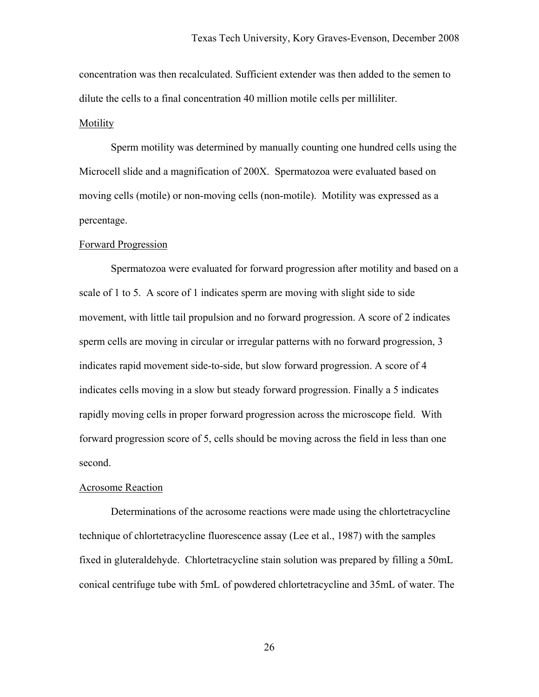concentration was then recalculated. Sufficient extender was then added to the semen to dilute the cells to a final concentration 40 million motile cells per milliliter. Motility

 Sperm motility was determined by manually counting one hundred cells using the Microcell slide and a magnification of 200X. Spermatozoa were evaluated based on moving cells (motile) or non-moving cells (non-motile). Motility was expressed as a percentage.

#### Forward Progression

 Spermatozoa were evaluated for forward progression after motility and based on a scale of 1 to 5. A score of 1 indicates sperm are moving with slight side to side movement, with little tail propulsion and no forward progression. A score of 2 indicates sperm cells are moving in circular or irregular patterns with no forward progression, 3 indicates rapid movement side-to-side, but slow forward progression. A score of 4 indicates cells moving in a slow but steady forward progression. Finally a 5 indicates rapidly moving cells in proper forward progression across the microscope field. With forward progression score of 5, cells should be moving across the field in less than one second.

#### Acrosome Reaction

Determinations of the acrosome reactions were made using the chlortetracycline technique of chlortetracycline fluorescence assay (Lee et al., 1987) with the samples fixed in gluteraldehyde. Chlortetracycline stain solution was prepared by filling a 50mL conical centrifuge tube with 5mL of powdered chlortetracycline and 35mL of water. The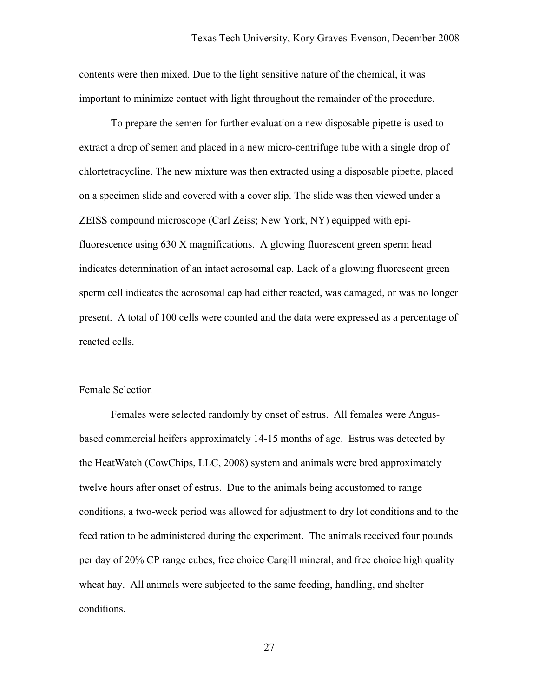contents were then mixed. Due to the light sensitive nature of the chemical, it was important to minimize contact with light throughout the remainder of the procedure.

To prepare the semen for further evaluation a new disposable pipette is used to extract a drop of semen and placed in a new micro-centrifuge tube with a single drop of chlortetracycline. The new mixture was then extracted using a disposable pipette, placed on a specimen slide and covered with a cover slip. The slide was then viewed under a ZEISS compound microscope (Carl Zeiss; New York, NY) equipped with epifluorescence using 630 X magnifications. A glowing fluorescent green sperm head indicates determination of an intact acrosomal cap. Lack of a glowing fluorescent green sperm cell indicates the acrosomal cap had either reacted, was damaged, or was no longer present. A total of 100 cells were counted and the data were expressed as a percentage of reacted cells.

### Female Selection

Females were selected randomly by onset of estrus. All females were Angusbased commercial heifers approximately 14-15 months of age. Estrus was detected by the HeatWatch (CowChips, LLC, 2008) system and animals were bred approximately twelve hours after onset of estrus. Due to the animals being accustomed to range conditions, a two-week period was allowed for adjustment to dry lot conditions and to the feed ration to be administered during the experiment. The animals received four pounds per day of 20% CP range cubes, free choice Cargill mineral, and free choice high quality wheat hay. All animals were subjected to the same feeding, handling, and shelter conditions.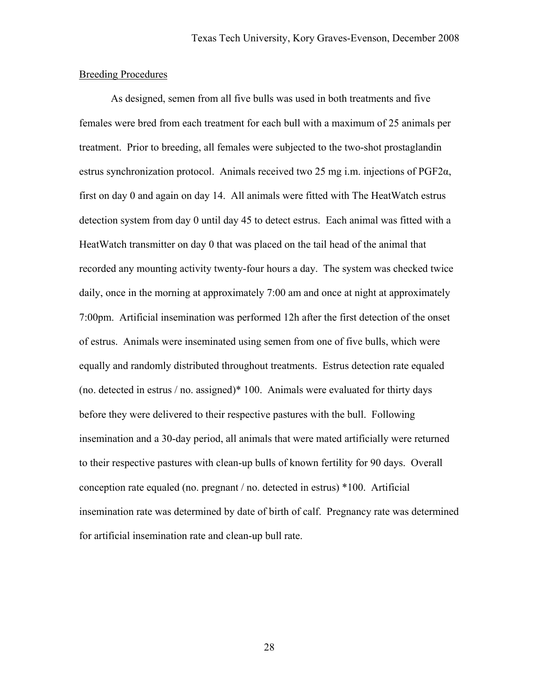### Breeding Procedures

As designed, semen from all five bulls was used in both treatments and five females were bred from each treatment for each bull with a maximum of 25 animals per treatment. Prior to breeding, all females were subjected to the two-shot prostaglandin estrus synchronization protocol. Animals received two 25 mg i.m. injections of PGF2α, first on day 0 and again on day 14. All animals were fitted with The HeatWatch estrus detection system from day 0 until day 45 to detect estrus. Each animal was fitted with a HeatWatch transmitter on day 0 that was placed on the tail head of the animal that recorded any mounting activity twenty-four hours a day. The system was checked twice daily, once in the morning at approximately 7:00 am and once at night at approximately 7:00pm. Artificial insemination was performed 12h after the first detection of the onset of estrus. Animals were inseminated using semen from one of five bulls, which were equally and randomly distributed throughout treatments. Estrus detection rate equaled (no. detected in estrus / no. assigned)\* 100. Animals were evaluated for thirty days before they were delivered to their respective pastures with the bull. Following insemination and a 30-day period, all animals that were mated artificially were returned to their respective pastures with clean-up bulls of known fertility for 90 days. Overall conception rate equaled (no. pregnant / no. detected in estrus) \*100. Artificial insemination rate was determined by date of birth of calf. Pregnancy rate was determined for artificial insemination rate and clean-up bull rate.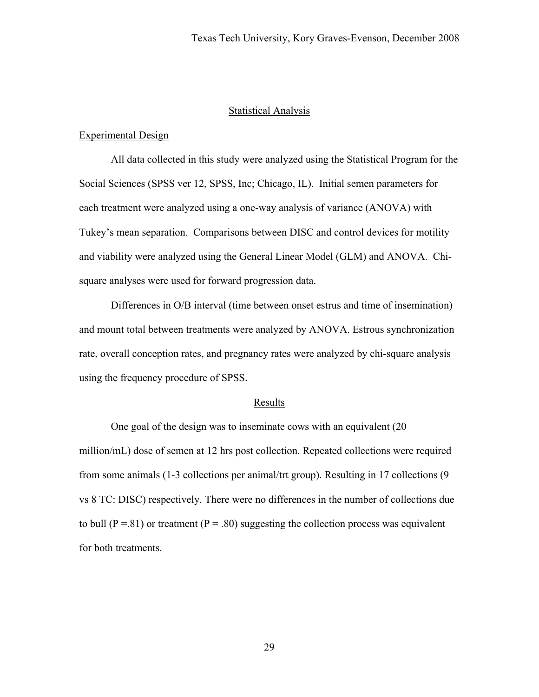### Statistical Analysis

### Experimental Design

 All data collected in this study were analyzed using the Statistical Program for the Social Sciences (SPSS ver 12, SPSS, Inc; Chicago, IL). Initial semen parameters for each treatment were analyzed using a one-way analysis of variance (ANOVA) with Tukey's mean separation. Comparisons between DISC and control devices for motility and viability were analyzed using the General Linear Model (GLM) and ANOVA. Chisquare analyses were used for forward progression data.

 Differences in O/B interval (time between onset estrus and time of insemination) and mount total between treatments were analyzed by ANOVA. Estrous synchronization rate, overall conception rates, and pregnancy rates were analyzed by chi-square analysis using the frequency procedure of SPSS.

#### Results

One goal of the design was to inseminate cows with an equivalent (20 million/mL) dose of semen at 12 hrs post collection. Repeated collections were required from some animals (1-3 collections per animal/trt group). Resulting in 17 collections (9 vs 8 TC: DISC) respectively. There were no differences in the number of collections due to bull ( $P = .81$ ) or treatment ( $P = .80$ ) suggesting the collection process was equivalent for both treatments.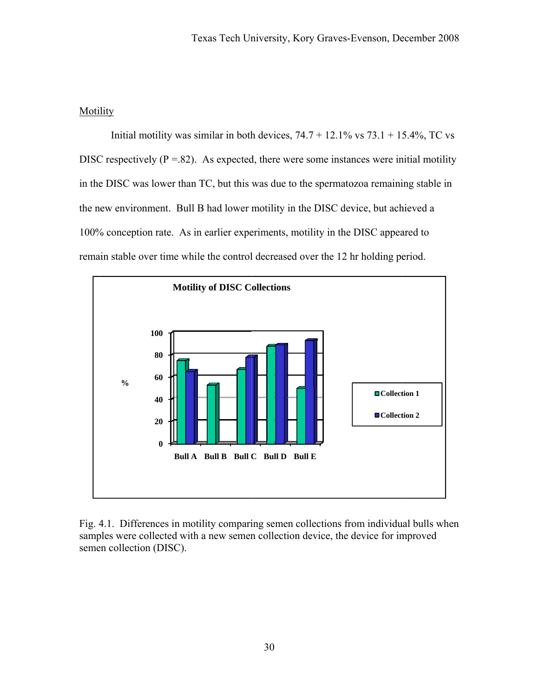#### **Motility**

DISC respectively ( $P = .82$ ). As expected, there were some instances were initial motility in the DISC was lower than TC, but this was due to the spermatozoa remaining stable in the new environment. Bull B had lower motility in the DISC device, but achieved a 100% conception rate. As in earlier experiments, motility in the DISC appeared to remain stable over time while the control decreased over the 12 hr holding period. Initial motility was similar in both devices,  $74.7 + 12.1\%$  vs  $73.1 + 15.4\%$ , TC vs



Fig. 4.1. Differences in motility comparing semen collections from individual bulls whe samples were collected with a new semen collection device, the device for improved seme n collection (DISC).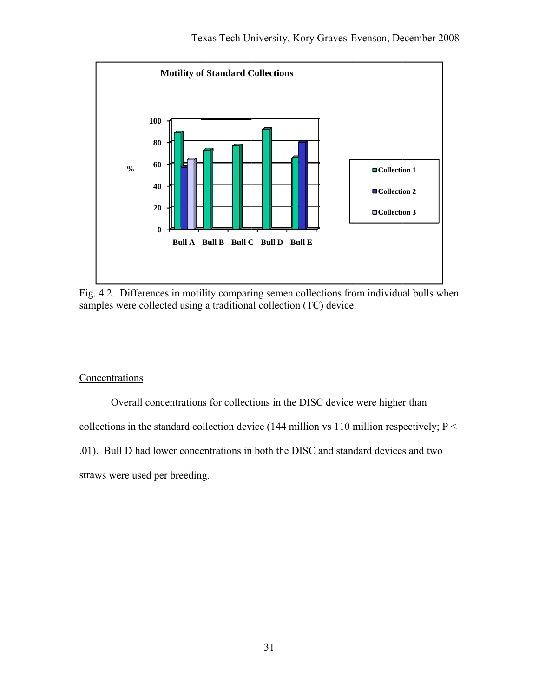

Fig. 4.2. Differences in motility comparing semen collections from individual bulls when samples were collected using a traditional collection (TC) device.

# Concentrations

Overall concentrations for collections in the DISC device were higher than

collections in the standard collection device (144 million vs 110 million respectively;  $P \leq$ 

.01). Bull D had lower concentrations in both the DISC and standard devices and two

straws were used per breeding.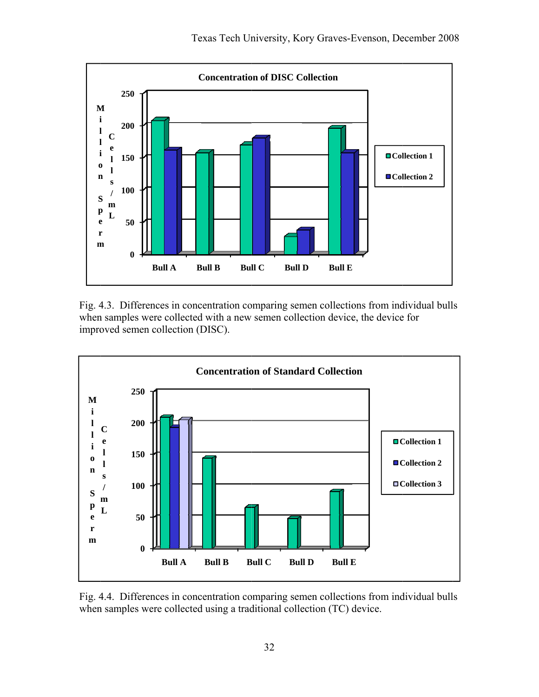

Fig. 4.3. Differences in concentration comparing semen collections from individual bulls when samples were collected with a new semen collection device, the device for improved semen collection (DISC).



Fig. 4.4. Differences in concentration comparing semen collections from individual bulls when samples were collected using a traditional collection (TC) device.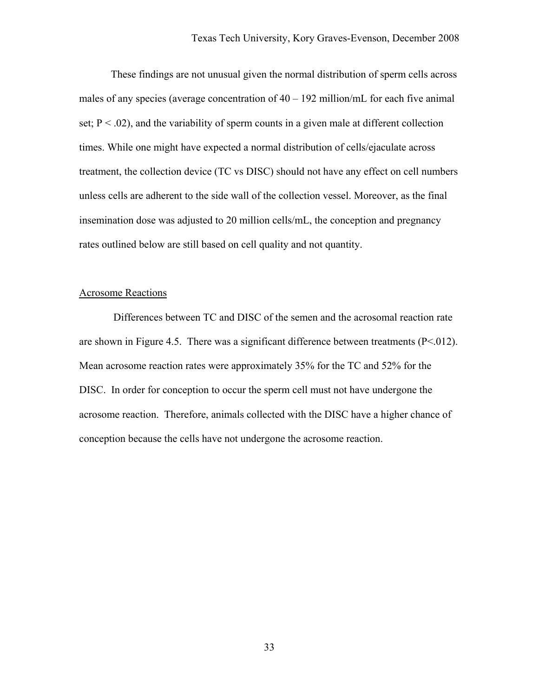These findings are not unusual given the normal distribution of sperm cells across males of any species (average concentration of  $40 - 192$  million/mL for each five animal set;  $P < .02$ ), and the variability of sperm counts in a given male at different collection times. While one might have expected a normal distribution of cells/ejaculate across treatment, the collection device (TC vs DISC) should not have any effect on cell numbers unless cells are adherent to the side wall of the collection vessel. Moreover, as the final insemination dose was adjusted to 20 million cells/mL, the conception and pregnancy rates outlined below are still based on cell quality and not quantity.

### Acrosome Reactions

Differences between TC and DISC of the semen and the acrosomal reaction rate are shown in Figure 4.5. There was a significant difference between treatments  $(P<.012)$ . Mean acrosome reaction rates were approximately 35% for the TC and 52% for the DISC. In order for conception to occur the sperm cell must not have undergone the acrosome reaction. Therefore, animals collected with the DISC have a higher chance of conception because the cells have not undergone the acrosome reaction.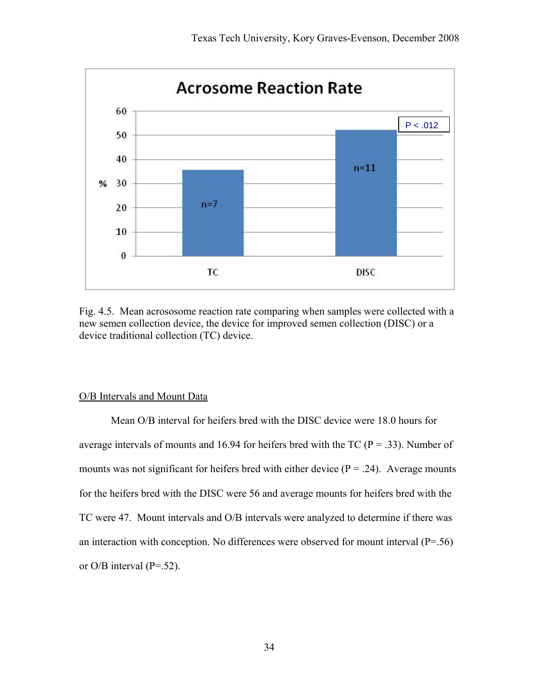

Fig. 4.5. Mean acrososome reaction rate comparing when samples were collected with a new semen collection device, the device for improved semen collection (DISC) or a device traditional collection (TC) device.

#### O/B Intervals and Mount Data

Mean O/B interval for heifers bred with the DISC device were 18.0 hours for average intervals of mounts and 16.94 for heifers bred with the TC ( $P = .33$ ). Number of mounts was not significant for heifers bred with either device ( $P = .24$ ). Average mounts for the heifers bred with the DISC were 56 and average mounts for heifers bred with the TC were 47. Mount intervals and O/B intervals were analyzed to determine if there was an interaction with conception. No differences were observed for mount interval  $(P=0.56)$ or  $O/B$  interval (P=.52).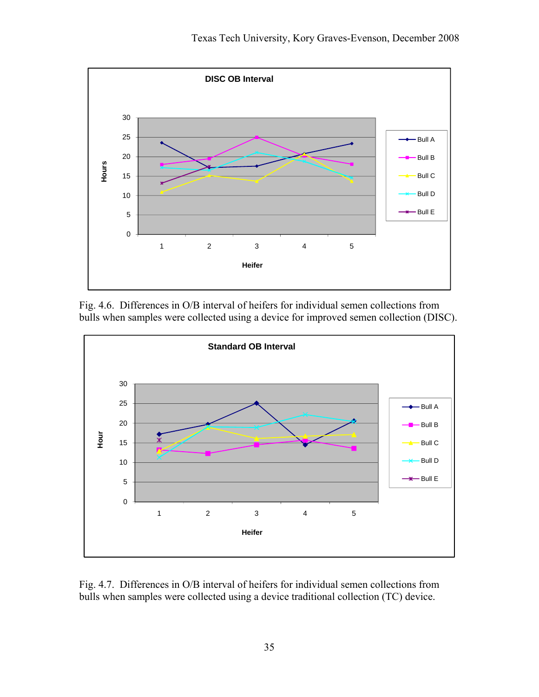

Fig. 4.6. Differences in O/B interval of heifers for individual semen collections from bulls when samples were collected using a device for improved semen collection (DISC).



Fig. 4.7. Differences in O/B interval of heifers for individual semen collections from bulls when samples were collected using a device traditional collection (TC) device.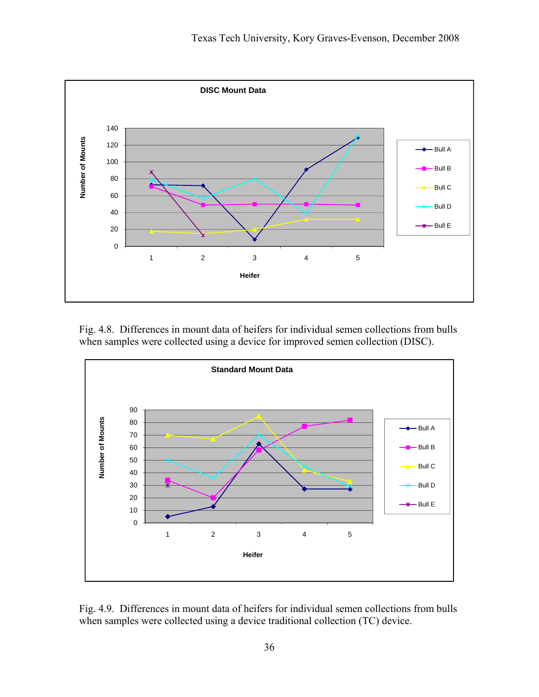

Fig. 4.8. Differences in mount data of heifers for individual semen collections from bulls when samples were collected using a device for improved semen collection (DISC).



Fig. 4.9. Differences in mount data of heifers for individual semen collections from bulls when samples were collected using a device traditional collection (TC) device.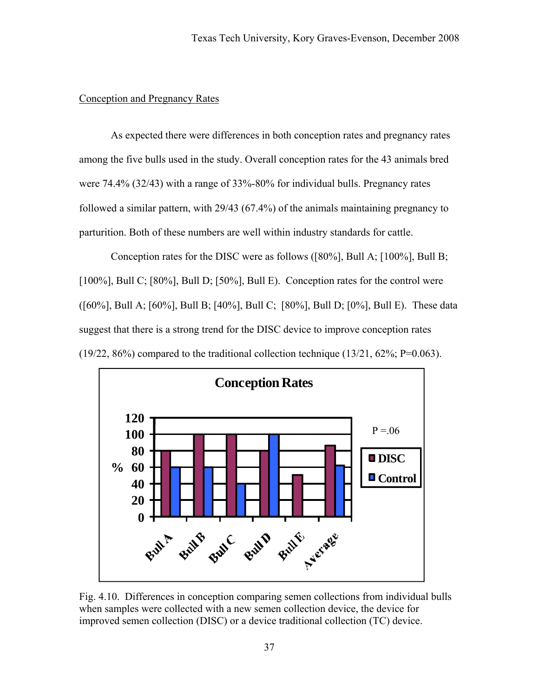# Conception and Pregnancy Rates

 As expected there were differences in both conception rates and pregnancy rates among the five bulls used in the study. Overall conception rates for the 43 animals bred were 74.4% (32/43) with a range of 33%-80% for individual bulls. Pregnancy rates followed a similar pattern, with 29/43 (67.4%) of the animals maintaining pregnancy to parturition. Both of these numbers are well within industry standards for cattle.

Conception rates for the DISC were as follows ([80%], Bull A; [100%], Bull B; [100%], Bull C; [80%], Bull D; [50%], Bull E). Conception rates for the control were ([60%], Bull A; [60%], Bull B; [40%], Bull C; [80%], Bull D; [0%], Bull E). These data suggest that there is a strong trend for the DISC device to improve conception rates (19/22, 86%) compared to the traditional collection technique (13/21, 62%; P=0.063).



Fig. 4.10. Differences in conception comparing semen collections from individual bulls when samples were collected with a new semen collection device, the device for improved semen collection (DISC) or a device traditional collection (TC) device.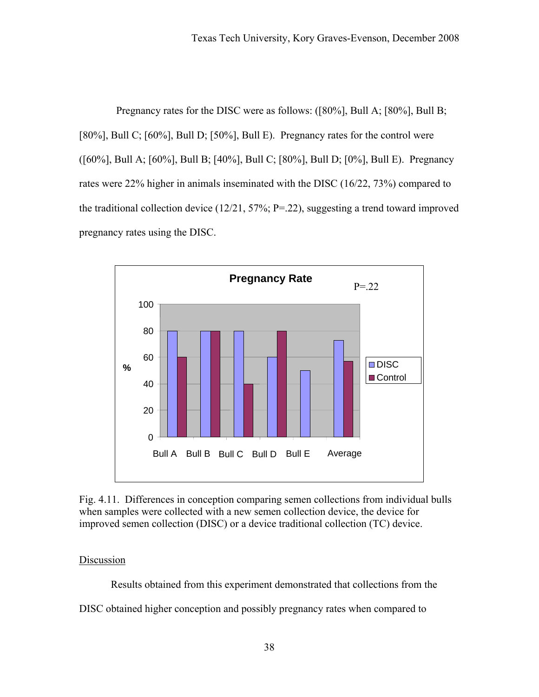Pregnancy rates for the DISC were as follows: ([80%], Bull A; [80%], Bull B; [80%], Bull C; [60%], Bull D; [50%], Bull E). Pregnancy rates for the control were ([60%], Bull A; [60%], Bull B; [40%], Bull C; [80%], Bull D; [0%], Bull E). Pregnancy rates were 22% higher in animals inseminated with the DISC (16/22, 73%) compared to the traditional collection device (12/21, 57%; P=.22), suggesting a trend toward improved pregnancy rates using the DISC.



Fig. 4.11. Differences in conception comparing semen collections from individual bulls when samples were collected with a new semen collection device, the device for improved semen collection (DISC) or a device traditional collection (TC) device.

# **Discussion**

 Results obtained from this experiment demonstrated that collections from the DISC obtained higher conception and possibly pregnancy rates when compared to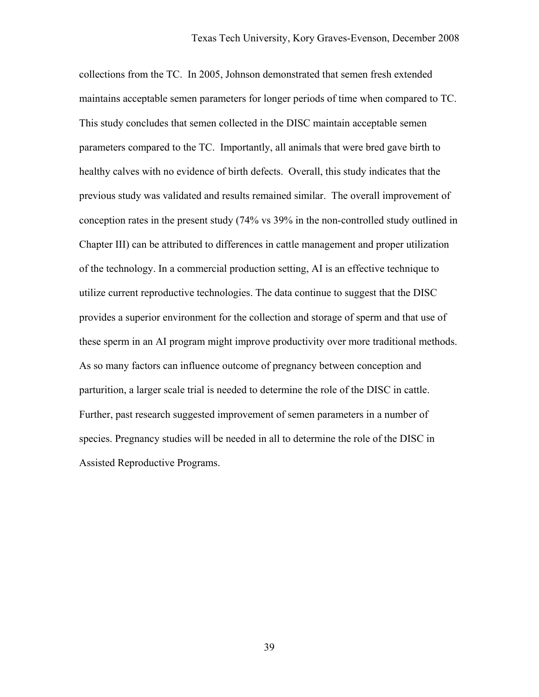collections from the TC. In 2005, Johnson demonstrated that semen fresh extended maintains acceptable semen parameters for longer periods of time when compared to TC. This study concludes that semen collected in the DISC maintain acceptable semen parameters compared to the TC. Importantly, all animals that were bred gave birth to healthy calves with no evidence of birth defects. Overall, this study indicates that the previous study was validated and results remained similar. The overall improvement of conception rates in the present study (74% vs 39% in the non-controlled study outlined in Chapter III) can be attributed to differences in cattle management and proper utilization of the technology. In a commercial production setting, AI is an effective technique to utilize current reproductive technologies. The data continue to suggest that the DISC provides a superior environment for the collection and storage of sperm and that use of these sperm in an AI program might improve productivity over more traditional methods. As so many factors can influence outcome of pregnancy between conception and parturition, a larger scale trial is needed to determine the role of the DISC in cattle. Further, past research suggested improvement of semen parameters in a number of species. Pregnancy studies will be needed in all to determine the role of the DISC in Assisted Reproductive Programs.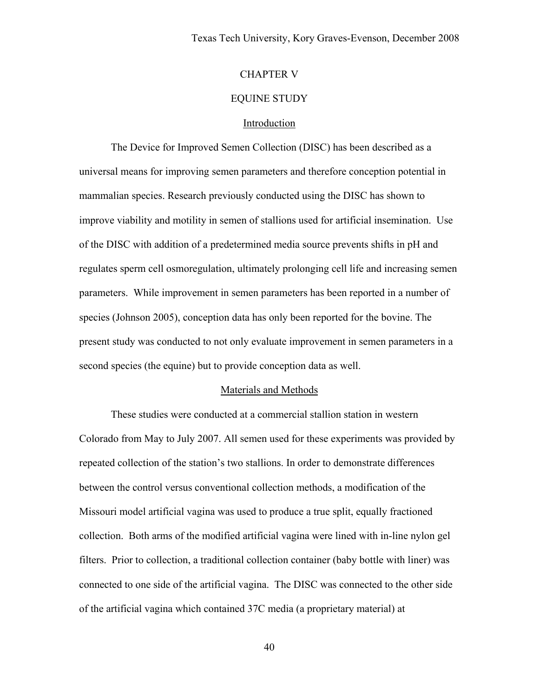# CHAPTER V

### EQUINE STUDY

### Introduction

 The Device for Improved Semen Collection (DISC) has been described as a universal means for improving semen parameters and therefore conception potential in mammalian species. Research previously conducted using the DISC has shown to improve viability and motility in semen of stallions used for artificial insemination. Use of the DISC with addition of a predetermined media source prevents shifts in pH and regulates sperm cell osmoregulation, ultimately prolonging cell life and increasing semen parameters. While improvement in semen parameters has been reported in a number of species (Johnson 2005), conception data has only been reported for the bovine. The present study was conducted to not only evaluate improvement in semen parameters in a second species (the equine) but to provide conception data as well.

### Materials and Methods

These studies were conducted at a commercial stallion station in western Colorado from May to July 2007. All semen used for these experiments was provided by repeated collection of the station's two stallions. In order to demonstrate differences between the control versus conventional collection methods, a modification of the Missouri model artificial vagina was used to produce a true split, equally fractioned collection. Both arms of the modified artificial vagina were lined with in-line nylon gel filters. Prior to collection, a traditional collection container (baby bottle with liner) was connected to one side of the artificial vagina. The DISC was connected to the other side of the artificial vagina which contained 37C media (a proprietary material) at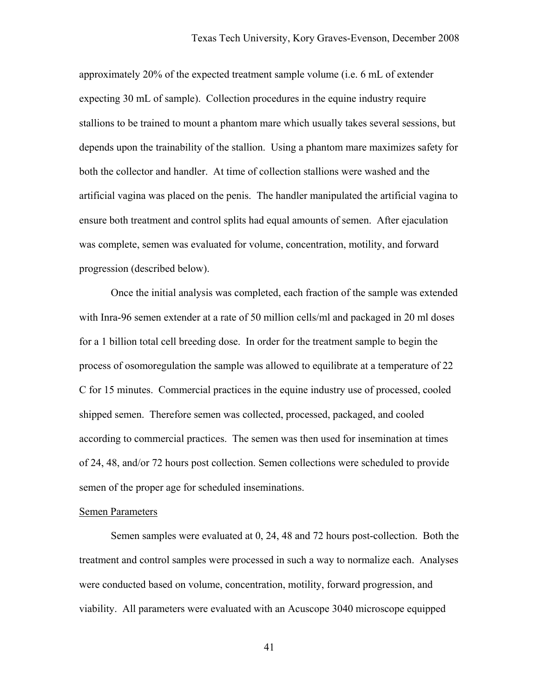approximately 20% of the expected treatment sample volume (i.e. 6 mL of extender expecting 30 mL of sample). Collection procedures in the equine industry require stallions to be trained to mount a phantom mare which usually takes several sessions, but depends upon the trainability of the stallion. Using a phantom mare maximizes safety for both the collector and handler. At time of collection stallions were washed and the artificial vagina was placed on the penis. The handler manipulated the artificial vagina to ensure both treatment and control splits had equal amounts of semen. After ejaculation was complete, semen was evaluated for volume, concentration, motility, and forward progression (described below).

Once the initial analysis was completed, each fraction of the sample was extended with Inra-96 semen extender at a rate of 50 million cells/ml and packaged in 20 ml doses for a 1 billion total cell breeding dose. In order for the treatment sample to begin the process of osomoregulation the sample was allowed to equilibrate at a temperature of 22 C for 15 minutes. Commercial practices in the equine industry use of processed, cooled shipped semen. Therefore semen was collected, processed, packaged, and cooled according to commercial practices. The semen was then used for insemination at times of 24, 48, and/or 72 hours post collection. Semen collections were scheduled to provide semen of the proper age for scheduled inseminations.

#### Semen Parameters

 Semen samples were evaluated at 0, 24, 48 and 72 hours post-collection. Both the treatment and control samples were processed in such a way to normalize each. Analyses were conducted based on volume, concentration, motility, forward progression, and viability. All parameters were evaluated with an Acuscope 3040 microscope equipped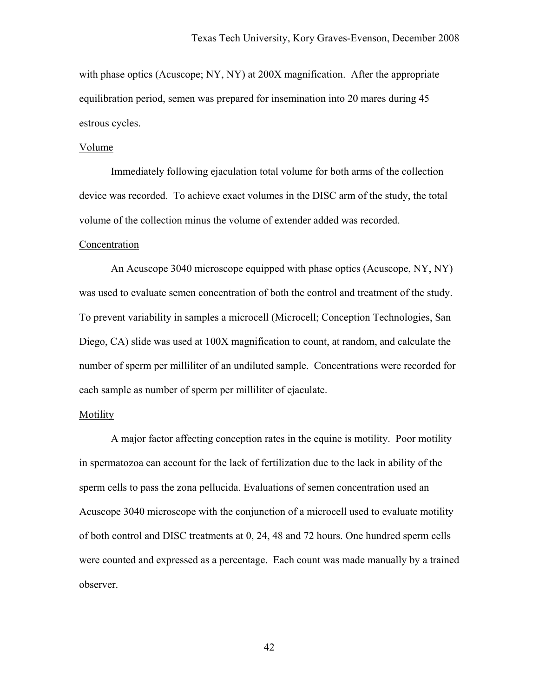with phase optics (Acuscope; NY, NY) at 200X magnification. After the appropriate equilibration period, semen was prepared for insemination into 20 mares during 45 estrous cycles.

### Volume

 Immediately following ejaculation total volume for both arms of the collection device was recorded. To achieve exact volumes in the DISC arm of the study, the total volume of the collection minus the volume of extender added was recorded.

#### Concentration

 An Acuscope 3040 microscope equipped with phase optics (Acuscope, NY, NY) was used to evaluate semen concentration of both the control and treatment of the study. To prevent variability in samples a microcell (Microcell; Conception Technologies, San Diego, CA) slide was used at 100X magnification to count, at random, and calculate the number of sperm per milliliter of an undiluted sample. Concentrations were recorded for each sample as number of sperm per milliliter of ejaculate.

#### Motility

 A major factor affecting conception rates in the equine is motility. Poor motility in spermatozoa can account for the lack of fertilization due to the lack in ability of the sperm cells to pass the zona pellucida. Evaluations of semen concentration used an Acuscope 3040 microscope with the conjunction of a microcell used to evaluate motility of both control and DISC treatments at 0, 24, 48 and 72 hours. One hundred sperm cells were counted and expressed as a percentage. Each count was made manually by a trained observer.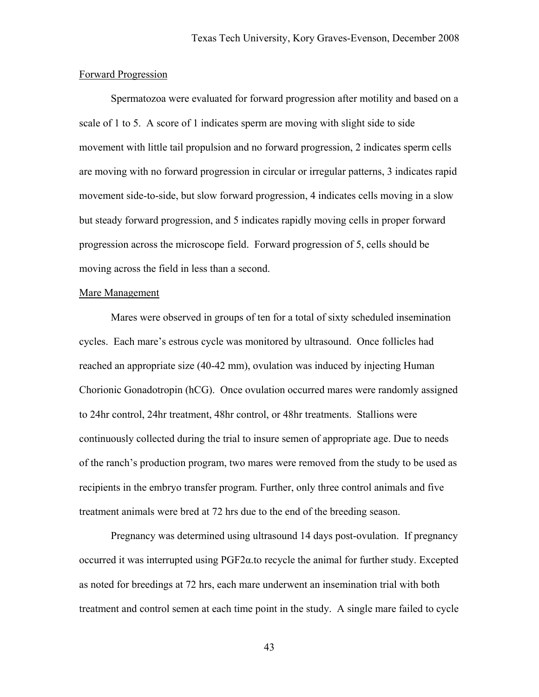#### Forward Progression

 Spermatozoa were evaluated for forward progression after motility and based on a scale of 1 to 5. A score of 1 indicates sperm are moving with slight side to side movement with little tail propulsion and no forward progression, 2 indicates sperm cells are moving with no forward progression in circular or irregular patterns, 3 indicates rapid movement side-to-side, but slow forward progression, 4 indicates cells moving in a slow but steady forward progression, and 5 indicates rapidly moving cells in proper forward progression across the microscope field. Forward progression of 5, cells should be moving across the field in less than a second.

#### Mare Management

 Mares were observed in groups of ten for a total of sixty scheduled insemination cycles. Each mare's estrous cycle was monitored by ultrasound. Once follicles had reached an appropriate size (40-42 mm), ovulation was induced by injecting Human Chorionic Gonadotropin (hCG). Once ovulation occurred mares were randomly assigned to 24hr control, 24hr treatment, 48hr control, or 48hr treatments. Stallions were continuously collected during the trial to insure semen of appropriate age. Due to needs of the ranch's production program, two mares were removed from the study to be used as recipients in the embryo transfer program. Further, only three control animals and five treatment animals were bred at 72 hrs due to the end of the breeding season.

Pregnancy was determined using ultrasound 14 days post-ovulation. If pregnancy occurred it was interrupted using  $PGF2\alpha$  to recycle the animal for further study. Excepted as noted for breedings at 72 hrs, each mare underwent an insemination trial with both treatment and control semen at each time point in the study. A single mare failed to cycle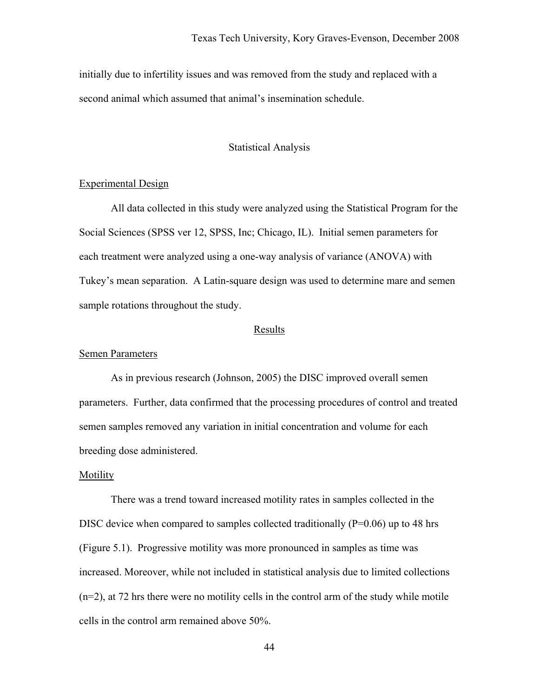initially due to infertility issues and was removed from the study and replaced with a second animal which assumed that animal's insemination schedule.

# Statistical Analysis

# Experimental Design

 All data collected in this study were analyzed using the Statistical Program for the Social Sciences (SPSS ver 12, SPSS, Inc; Chicago, IL). Initial semen parameters for each treatment were analyzed using a one-way analysis of variance (ANOVA) with Tukey's mean separation. A Latin-square design was used to determine mare and semen sample rotations throughout the study.

### Results

#### Semen Parameters

 As in previous research (Johnson, 2005) the DISC improved overall semen parameters. Further, data confirmed that the processing procedures of control and treated semen samples removed any variation in initial concentration and volume for each breeding dose administered.

### Motility

 There was a trend toward increased motility rates in samples collected in the DISC device when compared to samples collected traditionally  $(P=0.06)$  up to 48 hrs (Figure 5.1). Progressive motility was more pronounced in samples as time was increased. Moreover, while not included in statistical analysis due to limited collections (n=2), at 72 hrs there were no motility cells in the control arm of the study while motile cells in the control arm remained above 50%.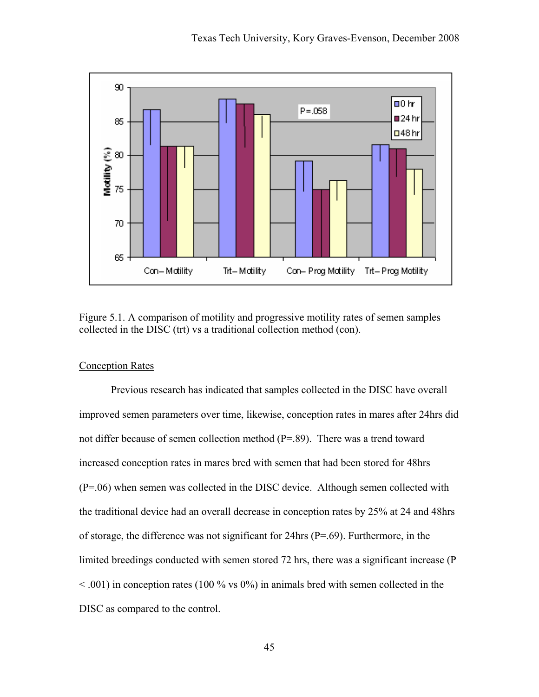

Figure 5.1. A comparison of motility and progressive motility rates of semen samples collected in the DISC (trt) vs a traditional collection method (con).

# Conception Rates

 Previous research has indicated that samples collected in the DISC have overall improved semen parameters over time, likewise, conception rates in mares after 24hrs did not differ because of semen collection method (P=.89). There was a trend toward increased conception rates in mares bred with semen that had been stored for 48hrs (P=.06) when semen was collected in the DISC device. Although semen collected with the traditional device had an overall decrease in conception rates by 25% at 24 and 48hrs of storage, the difference was not significant for 24hrs (P=.69). Furthermore, in the limited breedings conducted with semen stored 72 hrs, there was a significant increase (P  $<$  0.01) in conception rates (100 % vs 0%) in animals bred with semen collected in the DISC as compared to the control.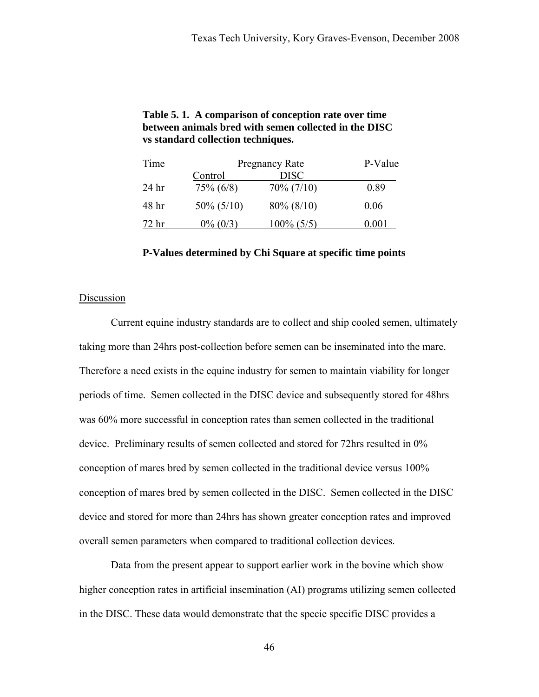| Time             | <b>Pregnancy Rate</b> |               | P-Value |
|------------------|-----------------------|---------------|---------|
|                  | Control               | <b>DISC</b>   |         |
| 24 <sub>hr</sub> | $75\% (6/8)$          | $70\% (7/10)$ | 0.89    |
| 48 hr            | $50\% (5/10)$         | $80\% (8/10)$ | 0.06    |
| 72 hr            | $0\%$ (0/3)           | $100\% (5/5)$ | 0 001   |

# **Table 5. 1. A comparison of conception rate over time between animals bred with semen collected in the DISC vs standard collection techniques.**

**P-Values determined by Chi Square at specific time points** 

# **Discussion**

 Current equine industry standards are to collect and ship cooled semen, ultimately taking more than 24hrs post-collection before semen can be inseminated into the mare. Therefore a need exists in the equine industry for semen to maintain viability for longer periods of time. Semen collected in the DISC device and subsequently stored for 48hrs was 60% more successful in conception rates than semen collected in the traditional device. Preliminary results of semen collected and stored for 72hrs resulted in 0% conception of mares bred by semen collected in the traditional device versus 100% conception of mares bred by semen collected in the DISC. Semen collected in the DISC device and stored for more than 24hrs has shown greater conception rates and improved overall semen parameters when compared to traditional collection devices.

Data from the present appear to support earlier work in the bovine which show higher conception rates in artificial insemination (AI) programs utilizing semen collected in the DISC. These data would demonstrate that the specie specific DISC provides a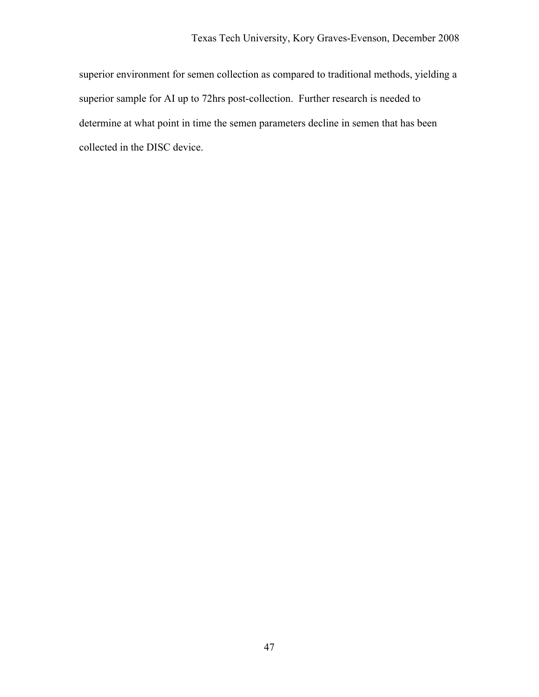superior environment for semen collection as compared to traditional methods, yielding a superior sample for AI up to 72hrs post-collection. Further research is needed to determine at what point in time the semen parameters decline in semen that has been collected in the DISC device.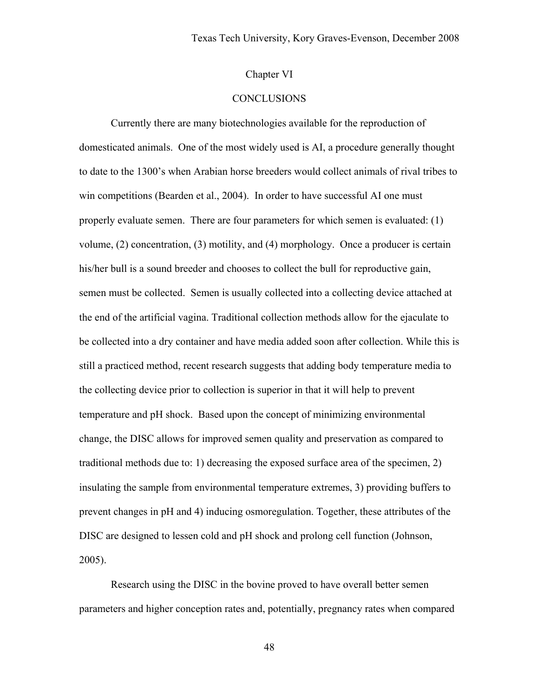# Chapter VI

# **CONCLUSIONS**

Currently there are many biotechnologies available for the reproduction of domesticated animals. One of the most widely used is AI, a procedure generally thought to date to the 1300's when Arabian horse breeders would collect animals of rival tribes to win competitions (Bearden et al., 2004). In order to have successful AI one must properly evaluate semen. There are four parameters for which semen is evaluated: (1) volume, (2) concentration, (3) motility, and (4) morphology. Once a producer is certain his/her bull is a sound breeder and chooses to collect the bull for reproductive gain, semen must be collected. Semen is usually collected into a collecting device attached at the end of the artificial vagina. Traditional collection methods allow for the ejaculate to be collected into a dry container and have media added soon after collection. While this is still a practiced method, recent research suggests that adding body temperature media to the collecting device prior to collection is superior in that it will help to prevent temperature and pH shock. Based upon the concept of minimizing environmental change, the DISC allows for improved semen quality and preservation as compared to traditional methods due to: 1) decreasing the exposed surface area of the specimen, 2) insulating the sample from environmental temperature extremes, 3) providing buffers to prevent changes in pH and 4) inducing osmoregulation. Together, these attributes of the DISC are designed to lessen cold and pH shock and prolong cell function (Johnson, 2005).

Research using the DISC in the bovine proved to have overall better semen parameters and higher conception rates and, potentially, pregnancy rates when compared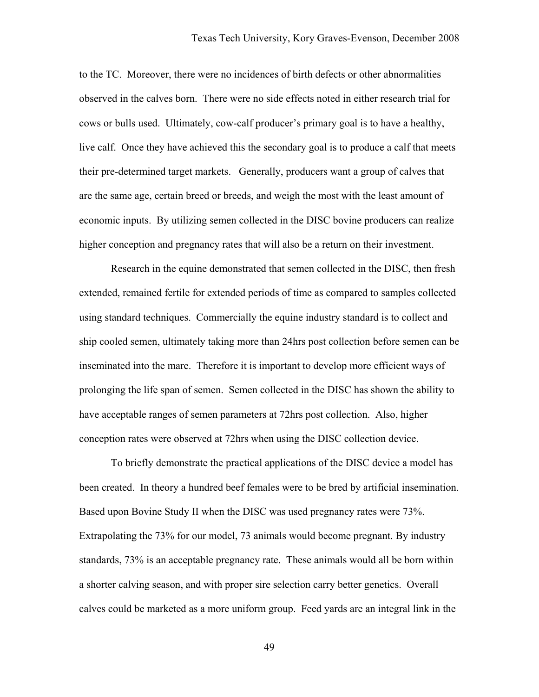to the TC. Moreover, there were no incidences of birth defects or other abnormalities observed in the calves born. There were no side effects noted in either research trial for cows or bulls used. Ultimately, cow-calf producer's primary goal is to have a healthy, live calf. Once they have achieved this the secondary goal is to produce a calf that meets their pre-determined target markets. Generally, producers want a group of calves that are the same age, certain breed or breeds, and weigh the most with the least amount of economic inputs. By utilizing semen collected in the DISC bovine producers can realize higher conception and pregnancy rates that will also be a return on their investment.

Research in the equine demonstrated that semen collected in the DISC, then fresh extended, remained fertile for extended periods of time as compared to samples collected using standard techniques. Commercially the equine industry standard is to collect and ship cooled semen, ultimately taking more than 24hrs post collection before semen can be inseminated into the mare. Therefore it is important to develop more efficient ways of prolonging the life span of semen. Semen collected in the DISC has shown the ability to have acceptable ranges of semen parameters at 72hrs post collection. Also, higher conception rates were observed at 72hrs when using the DISC collection device.

To briefly demonstrate the practical applications of the DISC device a model has been created. In theory a hundred beef females were to be bred by artificial insemination. Based upon Bovine Study II when the DISC was used pregnancy rates were 73%. Extrapolating the 73% for our model, 73 animals would become pregnant. By industry standards, 73% is an acceptable pregnancy rate. These animals would all be born within a shorter calving season, and with proper sire selection carry better genetics. Overall calves could be marketed as a more uniform group. Feed yards are an integral link in the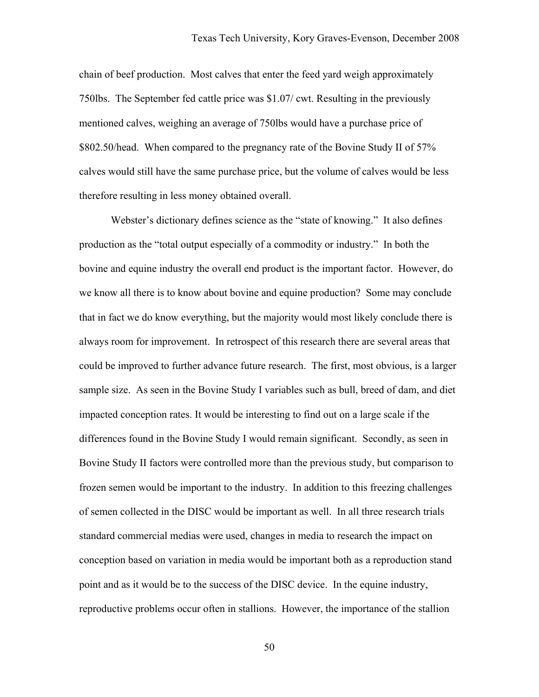chain of beef production. Most calves that enter the feed yard weigh approximately 750lbs. The September fed cattle price was \$1.07/ cwt. Resulting in the previously mentioned calves, weighing an average of 750lbs would have a purchase price of \$802.50/head. When compared to the pregnancy rate of the Bovine Study II of 57% calves would still have the same purchase price, but the volume of calves would be less therefore resulting in less money obtained overall.

Webster's dictionary defines science as the "state of knowing." It also defines production as the "total output especially of a commodity or industry." In both the bovine and equine industry the overall end product is the important factor. However, do we know all there is to know about bovine and equine production? Some may conclude that in fact we do know everything, but the majority would most likely conclude there is always room for improvement. In retrospect of this research there are several areas that could be improved to further advance future research. The first, most obvious, is a larger sample size. As seen in the Bovine Study I variables such as bull, breed of dam, and diet impacted conception rates. It would be interesting to find out on a large scale if the differences found in the Bovine Study I would remain significant. Secondly, as seen in Bovine Study II factors were controlled more than the previous study, but comparison to frozen semen would be important to the industry. In addition to this freezing challenges of semen collected in the DISC would be important as well. In all three research trials standard commercial medias were used, changes in media to research the impact on conception based on variation in media would be important both as a reproduction stand point and as it would be to the success of the DISC device. In the equine industry, reproductive problems occur often in stallions. However, the importance of the stallion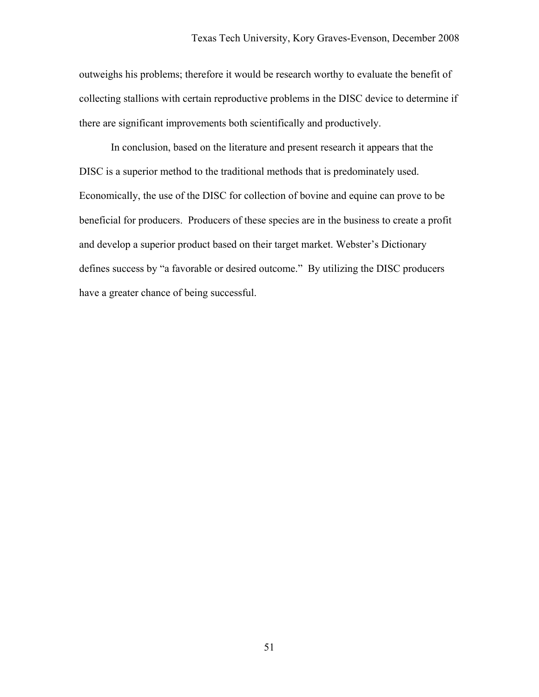outweighs his problems; therefore it would be research worthy to evaluate the benefit of collecting stallions with certain reproductive problems in the DISC device to determine if there are significant improvements both scientifically and productively.

In conclusion, based on the literature and present research it appears that the DISC is a superior method to the traditional methods that is predominately used. Economically, the use of the DISC for collection of bovine and equine can prove to be beneficial for producers. Producers of these species are in the business to create a profit and develop a superior product based on their target market. Webster's Dictionary defines success by "a favorable or desired outcome." By utilizing the DISC producers have a greater chance of being successful.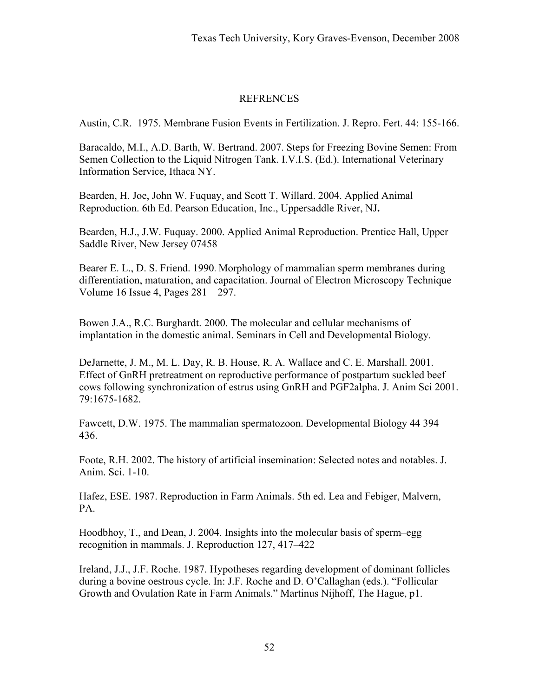# **REFRENCES**

Austin, C.R. 1975. Membrane Fusion Events in Fertilization. J. Repro. Fert. 44: 155-166.

Baracaldo, M.I., A.D. Barth, W. Bertrand. 2007. Steps for Freezing Bovine Semen: From Semen Collection to the Liquid Nitrogen Tank. I.V.I.S. (Ed.). International Veterinary Information Service, Ithaca NY.

Bearden, H. Joe, John W. Fuquay, and Scott T. Willard. 2004. Applied Animal Reproduction. 6th Ed. Pearson Education, Inc., Uppersaddle River, NJ**.** 

Bearden, H.J., J.W. Fuquay. 2000. Applied Animal Reproduction. Prentice Hall, Upper Saddle River, New Jersey 07458

Bearer E. L., D. S. Friend. 1990. Morphology of mammalian sperm membranes during differentiation, maturation, and capacitation. Journal of Electron Microscopy Technique Volume 16 Issue 4, Pages 281 – 297.

Bowen J.A., R.C. Burghardt. 2000. The molecular and cellular mechanisms of implantation in the domestic animal. Seminars in Cell and Developmental Biology.

DeJarnette, J. M., M. L. Day, R. B. House, R. A. Wallace and C. E. Marshall. 2001. Effect of GnRH pretreatment on reproductive performance of postpartum suckled beef cows following synchronization of estrus using GnRH and PGF2alpha. J. Anim Sci 2001. 79:1675-1682.

Fawcett, D.W. 1975. The mammalian spermatozoon. Developmental Biology 44 394– 436.

Foote, R.H. 2002. The history of artificial insemination: Selected notes and notables. J. Anim. Sci. 1-10.

Hafez, ESE. 1987. Reproduction in Farm Animals. 5th ed. Lea and Febiger, Malvern, PA.

Hoodbhoy, T., and Dean, J. 2004. Insights into the molecular basis of sperm–egg recognition in mammals. J. Reproduction 127, 417–422

Ireland, J.J., J.F. Roche. 1987. Hypotheses regarding development of dominant follicles during a bovine oestrous cycle. In: J.F. Roche and D. O'Callaghan (eds.). "Follicular Growth and Ovulation Rate in Farm Animals." Martinus Nijhoff, The Hague, p1.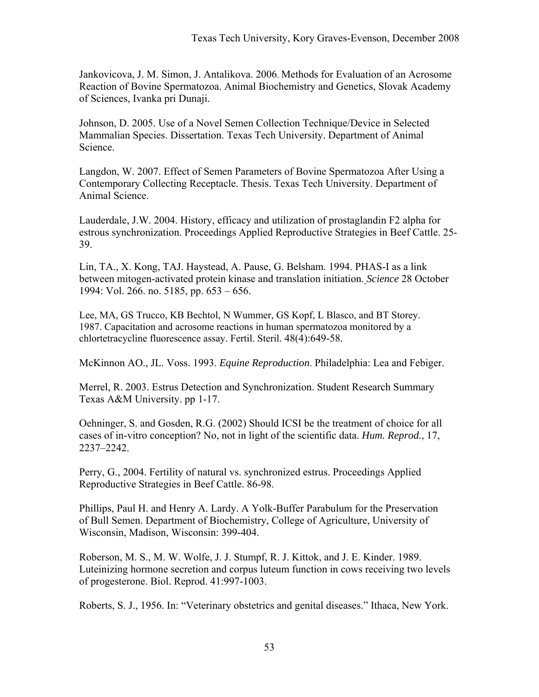Jankovicova, J. M. Simon, J. Antalikova. 2006. Methods for Evaluation of an Acrosome Reaction of Bovine Spermatozoa. Animal Biochemistry and Genetics, Slovak Academy of Sciences, Ivanka pri Dunaji.

Johnson, D. 2005. Use of a Novel Semen Collection Technique/Device in Selected Mammalian Species. Dissertation. Texas Tech University. Department of Animal Science.

Langdon, W. 2007. Effect of Semen Parameters of Bovine Spermatozoa After Using a Contemporary Collecting Receptacle. Thesis. Texas Tech University. Department of Animal Science.

Lauderdale, J.W. 2004. History, efficacy and utilization of prostaglandin F2 alpha for estrous synchronization. Proceedings Applied Reproductive Strategies in Beef Cattle. 25- 39.

Lin, TA., X. Kong, TAJ. Haystead, A. Pause, G. Belsham. 1994. PHAS-I as a link between mitogen-activated protein kinase and translation initiation. *Science* 28 October 1994: Vol. 266. no. 5185, pp. 653 – 656.

Lee, MA, GS Trucco, KB Bechtol, N Wummer, GS Kopf, L Blasco, and BT Storey. 1987. Capacitation and acrosome reactions in human spermatozoa monitored by a chlortetracycline fluorescence assay. Fertil. Steril. 48(4):649-58.

McKinnon AO., JL. Voss. 1993. *Equine Reproduction*. Philadelphia: Lea and Febiger.

Merrel, R. 2003. Estrus Detection and Synchronization. Student Research Summary Texas A&M University. pp 1-17.

Oehninger, S. and Gosden, R.G. (2002) Should ICSI be the treatment of choice for all cases of in-vitro conception? No, not in light of the scientific data. *Hum. Reprod.*, 17, 2237–2242.

Perry, G., 2004. Fertility of natural vs. synchronized estrus. Proceedings Applied Reproductive Strategies in Beef Cattle. 86-98.

Phillips, Paul H. and Henry A. Lardy. A Yolk-Buffer Parabulum for the Preservation of Bull Semen. Department of Biochemistry, College of Agriculture, University of Wisconsin, Madison, Wisconsin: 399-404.

Roberson, M. S., M. W. Wolfe, J. J. Stumpf, R. J. Kittok, and J. E. Kinder. 1989. Luteinizing hormone secretion and corpus luteum function in cows receiving two levels of progesterone. Biol. Reprod. 41:997-1003.

Roberts, S. J., 1956. In: "Veterinary obstetrics and genital diseases." Ithaca, New York.